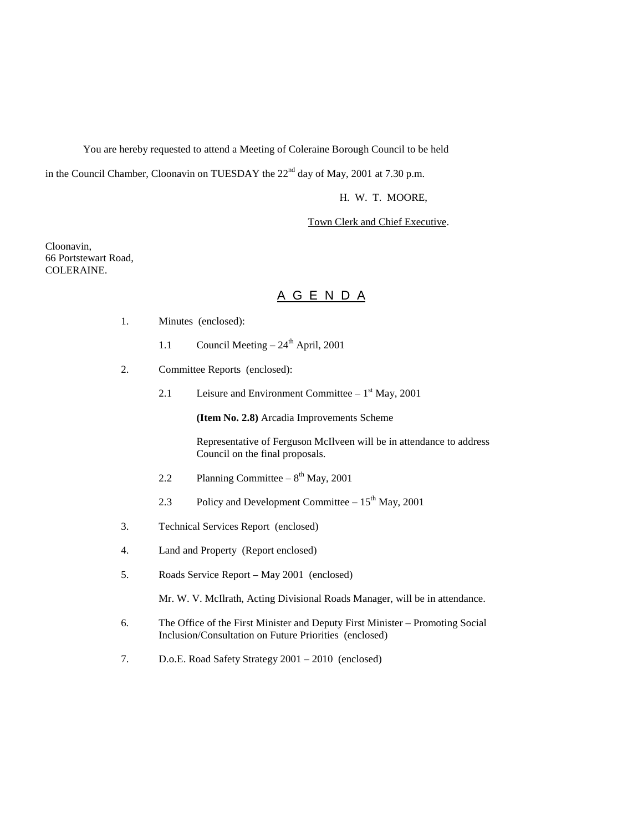You are hereby requested to attend a Meeting of Coleraine Borough Council to be held

in the Council Chamber, Cloonavin on TUESDAY the  $22<sup>nd</sup>$  day of May, 2001 at 7.30 p.m.

H. W. T. MOORE,

Town Clerk and Chief Executive.

Cloonavin, 66 Portstewart Road, COLERAINE.

# A G E N D A

- 1. Minutes (enclosed):
	- 1.1 Council Meeting  $24<sup>th</sup>$  April, 2001
- 2. Committee Reports (enclosed):
	- 2.1 Leisure and Environment Committee  $1<sup>st</sup>$  May, 2001

**(Item No. 2.8)** Arcadia Improvements Scheme

Representative of Ferguson McIlveen will be in attendance to address Council on the final proposals.

- 2.2 Planning Committee  $8<sup>th</sup>$  May, 2001
- 2.3 Policy and Development Committee  $-15^{th}$  May, 2001
- 3. Technical Services Report (enclosed)
- 4. Land and Property (Report enclosed)
- 5. Roads Service Report May 2001 (enclosed)

Mr. W. V. McIlrath, Acting Divisional Roads Manager, will be in attendance.

- 6. The Office of the First Minister and Deputy First Minister Promoting Social Inclusion/Consultation on Future Priorities (enclosed)
- 7. D.o.E. Road Safety Strategy 2001 2010 (enclosed)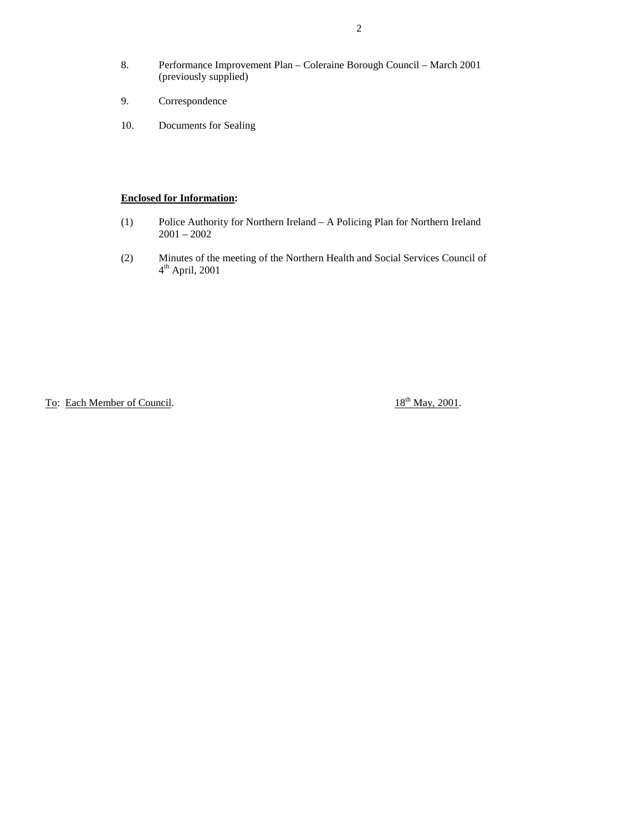- 8. Performance Improvement Plan Coleraine Borough Council March 2001 (previously supplied)
- 9. Correspondence
- 10. Documents for Sealing

# **Enclosed for Information:**

- (1) Police Authority for Northern Ireland A Policing Plan for Northern Ireland 2001 – 2002
- (2) Minutes of the meeting of the Northern Health and Social Services Council of  $4<sup>th</sup>$  April, 2001

To: Each Member of Council.  $18^{th}$  May, 2001.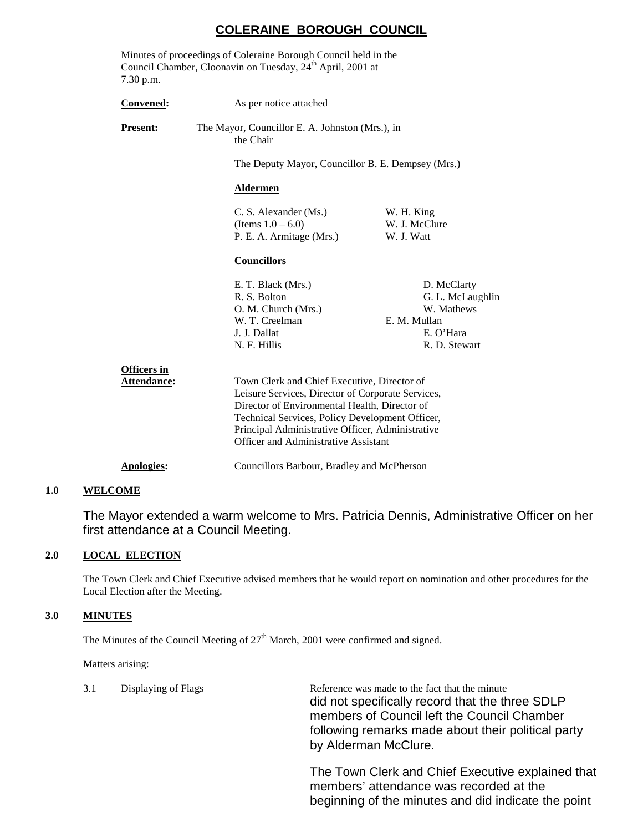# **COLERAINE BOROUGH COUNCIL**

| 7.30 p.m.                         | Minutes of proceedings of Coleraine Borough Council held in the<br>Council Chamber, Cloonavin on Tuesday, 24 <sup>th</sup> April, 2001 at |                                                                                                                                                                                                                                                                                                  |  |  |
|-----------------------------------|-------------------------------------------------------------------------------------------------------------------------------------------|--------------------------------------------------------------------------------------------------------------------------------------------------------------------------------------------------------------------------------------------------------------------------------------------------|--|--|
| Convened:                         | As per notice attached                                                                                                                    |                                                                                                                                                                                                                                                                                                  |  |  |
| Present:                          | the Chair                                                                                                                                 | The Mayor, Councillor E. A. Johnston (Mrs.), in                                                                                                                                                                                                                                                  |  |  |
|                                   | The Deputy Mayor, Councillor B. E. Dempsey (Mrs.)                                                                                         |                                                                                                                                                                                                                                                                                                  |  |  |
|                                   | <b>Aldermen</b>                                                                                                                           |                                                                                                                                                                                                                                                                                                  |  |  |
|                                   | C. S. Alexander (Ms.)<br>(Items $1.0 - 6.0$ )<br>P. E. A. Armitage (Mrs.)                                                                 | W. H. King<br>W. J. McClure<br>W. J. Watt                                                                                                                                                                                                                                                        |  |  |
|                                   | <b>Councillors</b>                                                                                                                        |                                                                                                                                                                                                                                                                                                  |  |  |
|                                   | E. T. Black (Mrs.)<br>R. S. Bolton<br>O. M. Church (Mrs.)<br>W. T. Creelman<br>J. J. Dallat<br>N. F. Hillis                               | D. McClarty<br>G. L. McLaughlin<br>W. Mathews<br>E. M. Mullan<br>E. O'Hara<br>R. D. Stewart                                                                                                                                                                                                      |  |  |
| <b>Officers in</b><br>Attendance: |                                                                                                                                           | Town Clerk and Chief Executive, Director of<br>Leisure Services, Director of Corporate Services,<br>Director of Environmental Health, Director of<br>Technical Services, Policy Development Officer,<br>Principal Administrative Officer, Administrative<br>Officer and Administrative Assistant |  |  |
| <b>Apologies:</b>                 | Councillors Barbour, Bradley and McPherson                                                                                                |                                                                                                                                                                                                                                                                                                  |  |  |

# **1.0 WELCOME**

The Mayor extended a warm welcome to Mrs. Patricia Dennis, Administrative Officer on her first attendance at a Council Meeting.

#### **2.0 LOCAL ELECTION**

The Town Clerk and Chief Executive advised members that he would report on nomination and other procedures for the Local Election after the Meeting.

#### **3.0 MINUTES**

The Minutes of the Council Meeting of  $27<sup>th</sup>$  March, 2001 were confirmed and signed.

Matters arising:

| 3.1 | Displaying of Flags | Reference was made to the fact that the minute<br>did not specifically record that the three SDLP<br>members of Council left the Council Chamber<br>following remarks made about their political party<br>by Alderman McClure. |
|-----|---------------------|--------------------------------------------------------------------------------------------------------------------------------------------------------------------------------------------------------------------------------|
|     |                     |                                                                                                                                                                                                                                |

The Town Clerk and Chief Executive explained that members' attendance was recorded at the beginning of the minutes and did indicate the point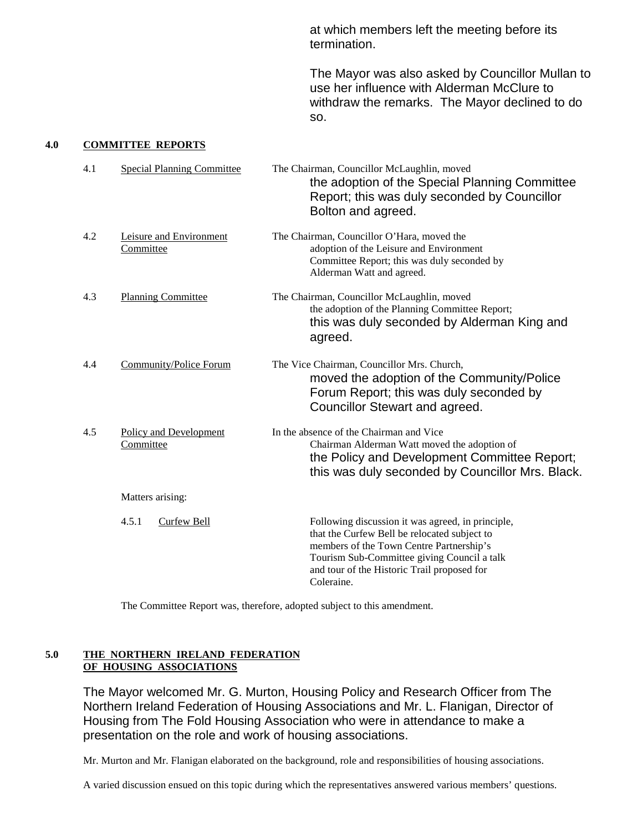at which members left the meeting before its termination.

The Mayor was also asked by Councillor Mullan to use her influence with Alderman McClure to withdraw the remarks. The Mayor declined to do so.

#### **4.0 COMMITTEE REPORTS**

| 4.1 | <b>Special Planning Committee</b>    | The Chairman, Councillor McLaughlin, moved<br>the adoption of the Special Planning Committee<br>Report; this was duly seconded by Councillor<br>Bolton and agreed.                                                                                        |
|-----|--------------------------------------|-----------------------------------------------------------------------------------------------------------------------------------------------------------------------------------------------------------------------------------------------------------|
| 4.2 | Leisure and Environment<br>Committee | The Chairman, Councillor O'Hara, moved the<br>adoption of the Leisure and Environment<br>Committee Report; this was duly seconded by<br>Alderman Watt and agreed.                                                                                         |
| 4.3 | <b>Planning Committee</b>            | The Chairman, Councillor McLaughlin, moved<br>the adoption of the Planning Committee Report;<br>this was duly seconded by Alderman King and<br>agreed.                                                                                                    |
| 4.4 | Community/Police Forum               | The Vice Chairman, Councillor Mrs. Church,<br>moved the adoption of the Community/Police<br>Forum Report; this was duly seconded by<br>Councillor Stewart and agreed.                                                                                     |
| 4.5 | Policy and Development<br>Committee  | In the absence of the Chairman and Vice<br>Chairman Alderman Watt moved the adoption of<br>the Policy and Development Committee Report;<br>this was duly seconded by Councillor Mrs. Black.                                                               |
|     | Matters arising:                     |                                                                                                                                                                                                                                                           |
|     | 4.5.1<br>Curfew Bell                 | Following discussion it was agreed, in principle,<br>that the Curfew Bell be relocated subject to<br>members of the Town Centre Partnership's<br>Tourism Sub-Committee giving Council a talk<br>and tour of the Historic Trail proposed for<br>Coleraine. |

The Committee Report was, therefore, adopted subject to this amendment.

# **5.0 THE NORTHERN IRELAND FEDERATION OF HOUSING ASSOCIATIONS**

The Mayor welcomed Mr. G. Murton, Housing Policy and Research Officer from The Northern Ireland Federation of Housing Associations and Mr. L. Flanigan, Director of Housing from The Fold Housing Association who were in attendance to make a presentation on the role and work of housing associations.

Mr. Murton and Mr. Flanigan elaborated on the background, role and responsibilities of housing associations.

A varied discussion ensued on this topic during which the representatives answered various members' questions.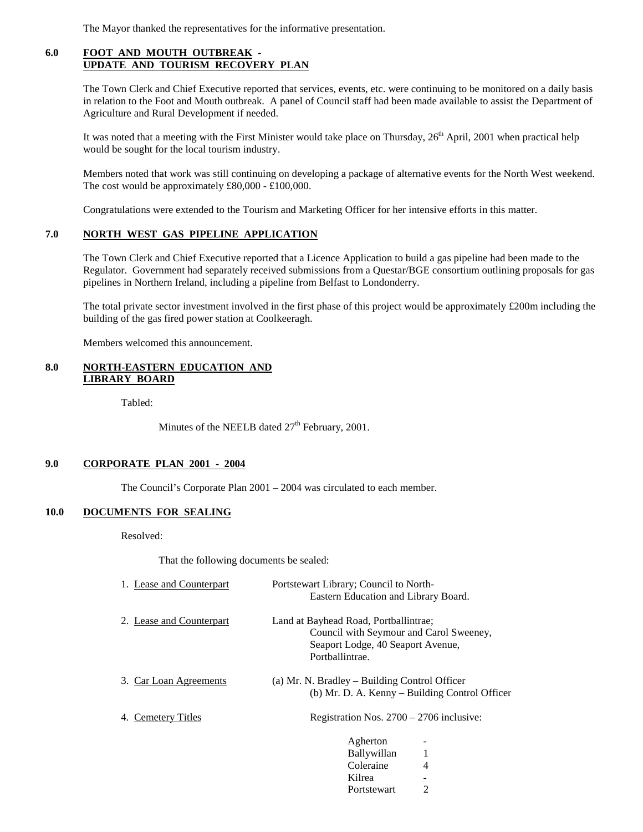The Mayor thanked the representatives for the informative presentation.

#### **6.0 FOOT AND MOUTH OUTBREAK - UPDATE AND TOURISM RECOVERY PLAN**

The Town Clerk and Chief Executive reported that services, events, etc. were continuing to be monitored on a daily basis in relation to the Foot and Mouth outbreak. A panel of Council staff had been made available to assist the Department of Agriculture and Rural Development if needed.

It was noted that a meeting with the First Minister would take place on Thursday, 26<sup>th</sup> April, 2001 when practical help would be sought for the local tourism industry.

Members noted that work was still continuing on developing a package of alternative events for the North West weekend. The cost would be approximately £80,000 - £100,000.

Congratulations were extended to the Tourism and Marketing Officer for her intensive efforts in this matter.

# **7.0 NORTH WEST GAS PIPELINE APPLICATION**

The Town Clerk and Chief Executive reported that a Licence Application to build a gas pipeline had been made to the Regulator. Government had separately received submissions from a Questar/BGE consortium outlining proposals for gas pipelines in Northern Ireland, including a pipeline from Belfast to Londonderry.

The total private sector investment involved in the first phase of this project would be approximately  $\text{\pounds}200m$  including the building of the gas fired power station at Coolkeeragh.

Members welcomed this announcement.

#### **8.0 NORTH-EASTERN EDUCATION AND LIBRARY BOARD**

Tabled:

Minutes of the NEELB dated  $27<sup>th</sup>$  February, 2001.

#### **9.0 CORPORATE PLAN 2001 - 2004**

The Council's Corporate Plan 2001 – 2004 was circulated to each member.

#### **10.0 DOCUMENTS FOR SEALING**

Resolved:

That the following documents be sealed:

| 1. Lease and Counterpart | Portstewart Library; Council to North-                                                                                                   |
|--------------------------|------------------------------------------------------------------------------------------------------------------------------------------|
|                          | Eastern Education and Library Board.                                                                                                     |
| 2. Lease and Counterpart | Land at Bayhead Road, Portballintrae;<br>Council with Seymour and Carol Sweeney,<br>Seaport Lodge, 40 Seaport Avenue,<br>Portballintrae. |
| 3. Car Loan Agreements   | (a) Mr. N. Bradley – Building Control Officer<br>(b) Mr. D. A. Kenny – Building Control Officer                                          |
| 4. Cemetery Titles       | Registration Nos. $2700 - 2706$ inclusive:                                                                                               |
|                          | Agherton<br>Ballywillan<br>Coleraine<br>4                                                                                                |
|                          | Kilrea                                                                                                                                   |

Portstewart 2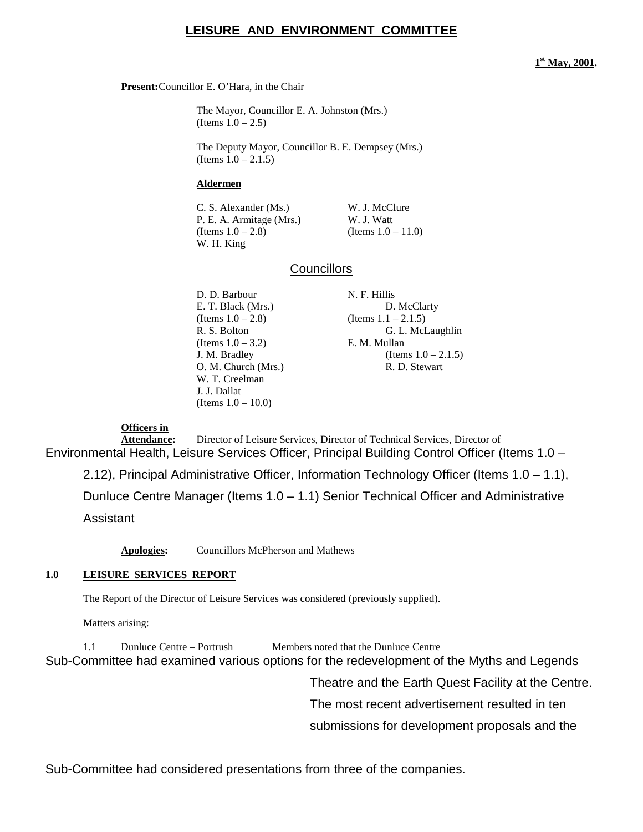# **LEISURE AND ENVIRONMENT COMMITTEE**

#### **1st May, 2001.**

**Present:**Councillor E. O'Hara, in the Chair

The Mayor, Councillor E. A. Johnston (Mrs.) (Items  $1.0 - 2.5$ )

The Deputy Mayor, Councillor B. E. Dempsey (Mrs.) (Items  $1.0 - 2.1.5$ )

#### **Aldermen**

C. S. Alexander (Ms.) W. J. McClure P. E. A. Armitage (Mrs.) W. J. Watt (Items  $1.0 - 2.8$ ) (Items  $1.0 - 11.0$ ) W. H. King

# **Councillors**

D. D. Barbour N. F. Hillis  $(Items 1.0 - 2.8)$  (Items 1.1 – 2.1.5) (Items  $1.0 - 3.2$ ) E. M. Mullan W. T. Creelman J. J. Dallat (Items 1.0 – 10.0)

E. T. Black (Mrs.) D. McClarty R. S. Bolton G. L. McLaughlin J. M. Bradley (Items  $1.0 - 2.1.5$ ) O. M. Church (Mrs.) R. D. Stewart

# **Officers in**

Attendance: Director of Leisure Services, Director of Technical Services, Director of Environmental Health, Leisure Services Officer, Principal Building Control Officer (Items 1.0 – 2.12), Principal Administrative Officer, Information Technology Officer (Items 1.0 – 1.1), Dunluce Centre Manager (Items 1.0 – 1.1) Senior Technical Officer and Administrative Assistant

**Apologies:** Councillors McPherson and Mathews

# **1.0 LEISURE SERVICES REPORT**

The Report of the Director of Leisure Services was considered (previously supplied).

Matters arising:

1.1 Dunluce Centre – Portrush Members noted that the Dunluce Centre Sub-Committee had examined various options for the redevelopment of the Myths and Legends

Theatre and the Earth Quest Facility at the Centre.

The most recent advertisement resulted in ten

submissions for development proposals and the

Sub-Committee had considered presentations from three of the companies.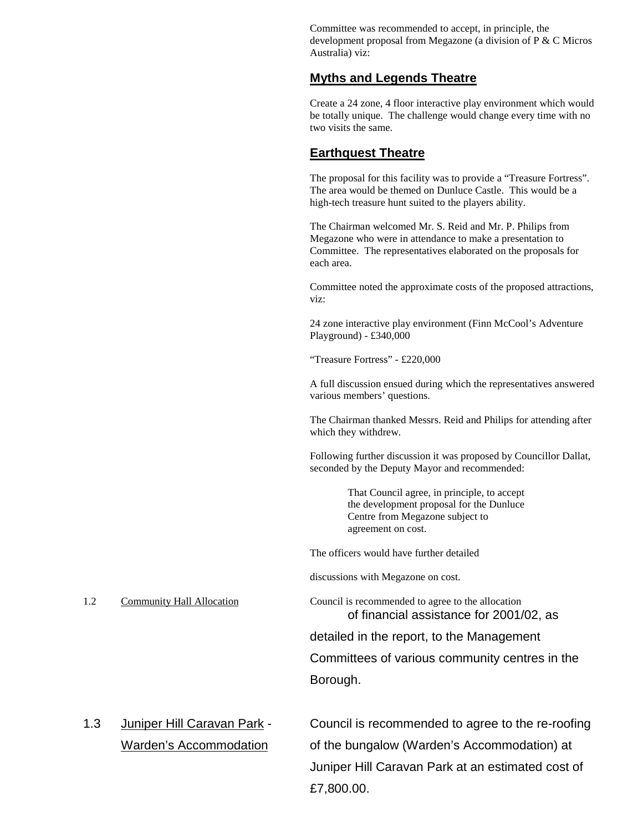Committee was recommended to accept, in principle, the development proposal from Megazone (a division of P & C Micros Australia) viz:

# **Myths and Legends Theatre**

Create a 24 zone, 4 floor interactive play environment which would be totally unique. The challenge would change every time with no two visits the same.

# **Earthquest Theatre**

The proposal for this facility was to provide a "Treasure Fortress". The area would be themed on Dunluce Castle. This would be a high-tech treasure hunt suited to the players ability.

The Chairman welcomed Mr. S. Reid and Mr. P. Philips from Megazone who were in attendance to make a presentation to Committee. The representatives elaborated on the proposals for each area.

Committee noted the approximate costs of the proposed attractions, viz:

24 zone interactive play environment (Finn McCool's Adventure Playground) - £340,000

"Treasure Fortress" - £220,000

A full discussion ensued during which the representatives answered various members' questions.

The Chairman thanked Messrs. Reid and Philips for attending after which they withdrew.

Following further discussion it was proposed by Councillor Dallat, seconded by the Deputy Mayor and recommended:

> That Council agree, in principle, to accept the development proposal for the Dunluce Centre from Megazone subject to agreement on cost.

The officers would have further detailed

discussions with Megazone on cost.

1.2 Community Hall Allocation Council is recommended to agree to the allocation of financial assistance for 2001/02, as

> detailed in the report, to the Management Committees of various community centres in the Borough.

1.3 Juniper Hill Caravan Park - Council is recommended to agree to the re-roofing Warden's Accommodation of the bungalow (Warden's Accommodation) at Juniper Hill Caravan Park at an estimated cost of

£7,800.00.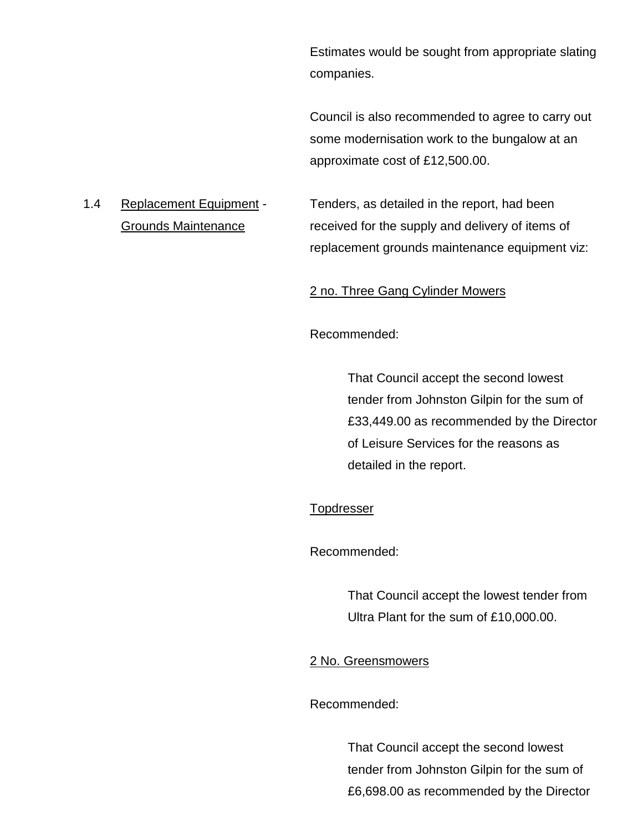Estimates would be sought from appropriate slating companies.

Council is also recommended to agree to carry out some modernisation work to the bungalow at an approximate cost of £12,500.00.

1.4 Replacement Equipment - Tenders, as detailed in the report, had been Grounds Maintenance received for the supply and delivery of items of replacement grounds maintenance equipment viz:

# 2 no. Three Gang Cylinder Mowers

Recommended:

That Council accept the second lowest tender from Johnston Gilpin for the sum of £33,449.00 as recommended by the Director of Leisure Services for the reasons as detailed in the report.

# **Topdresser**

Recommended:

That Council accept the lowest tender from Ultra Plant for the sum of £10,000.00.

# 2 No. Greensmowers

Recommended:

That Council accept the second lowest tender from Johnston Gilpin for the sum of £6,698.00 as recommended by the Director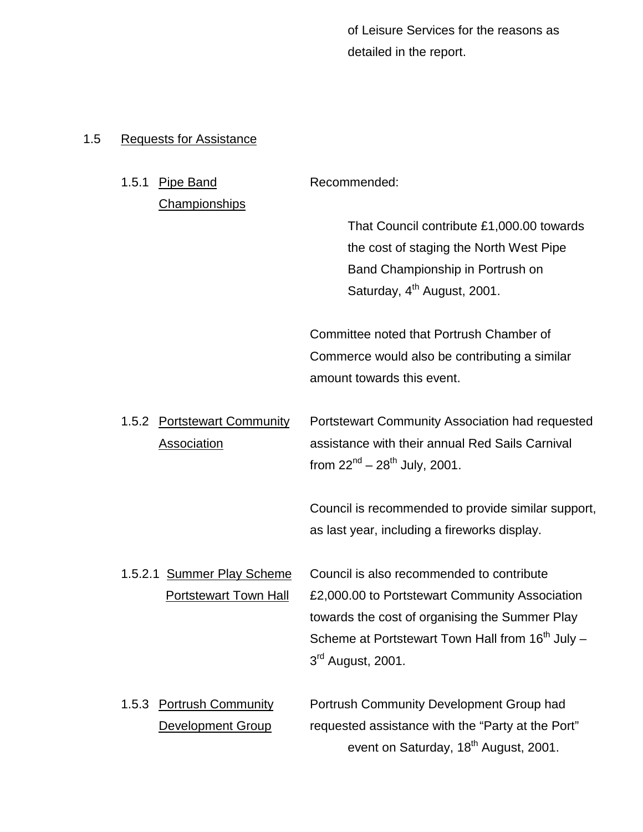of Leisure Services for the reasons as detailed in the report.

# 1.5 Requests for Assistance

| 1.5.1 | <b>Pipe Band</b>             | Recommended:                                                 |
|-------|------------------------------|--------------------------------------------------------------|
|       | Championships                |                                                              |
|       |                              | That Council contribute £1,000.00 towards                    |
|       |                              | the cost of staging the North West Pipe                      |
|       |                              | Band Championship in Portrush on                             |
|       |                              | Saturday, 4 <sup>th</sup> August, 2001.                      |
|       |                              |                                                              |
|       |                              | Committee noted that Portrush Chamber of                     |
|       |                              | Commerce would also be contributing a similar                |
|       |                              | amount towards this event.                                   |
| 1.5.2 | <b>Portstewart Community</b> | Portstewart Community Association had requested              |
|       | <b>Association</b>           | assistance with their annual Red Sails Carnival              |
|       |                              | from $22^{nd} - 28^{th}$ July, 2001.                         |
|       |                              |                                                              |
|       |                              | Council is recommended to provide similar support,           |
|       |                              | as last year, including a fireworks display.                 |
|       | 1.5.2.1 Summer Play Scheme   | Council is also recommended to contribute                    |
|       | <b>Portstewart Town Hall</b> | £2,000.00 to Portstewart Community Association               |
|       |                              | towards the cost of organising the Summer Play               |
|       |                              | Scheme at Portstewart Town Hall from 16 <sup>th</sup> July - |
|       |                              | $3rd$ August, 2001.                                          |
|       |                              |                                                              |
| 1.5.3 | <b>Portrush Community</b>    | Portrush Community Development Group had                     |
|       | <b>Development Group</b>     | requested assistance with the "Party at the Port"            |
|       |                              | event on Saturday, 18 <sup>th</sup> August, 2001.            |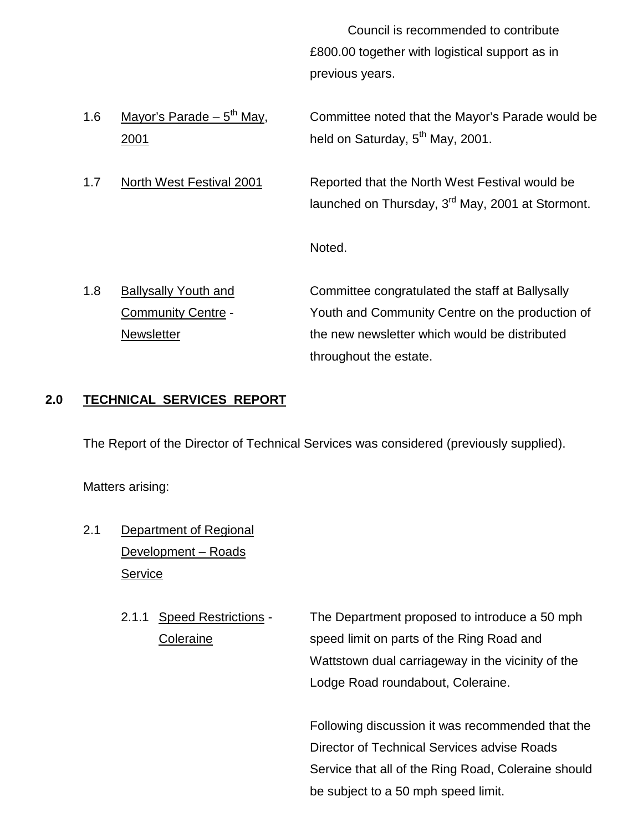Council is recommended to contribute £800.00 together with logistical support as in previous years.

1.6 Mayor's Parade –  $5^{th}$  May, Committee noted that the Mayor's Parade would be 2001 **held on Saturday,**  $5<sup>th</sup>$  **May, 2001.** 

1.7 North West Festival 2001 Reported that the North West Festival would be launched on Thursday, 3<sup>rd</sup> May, 2001 at Stormont.

Noted.

1.8 Ballysally Youth and Committee congratulated the staff at Ballysally Community Centre - Youth and Community Centre on the production of Newsletter the new newsletter which would be distributed throughout the estate.

# **2.0 TECHNICAL SERVICES REPORT**

The Report of the Director of Technical Services was considered (previously supplied).

Matters arising:

- 2.1 Department of Regional Development – Roads Service
	- 2.1.1 Speed Restrictions The Department proposed to introduce a 50 mph Coleraine speed limit on parts of the Ring Road and Wattstown dual carriageway in the vicinity of the Lodge Road roundabout, Coleraine.

Following discussion it was recommended that the Director of Technical Services advise Roads Service that all of the Ring Road, Coleraine should be subject to a 50 mph speed limit.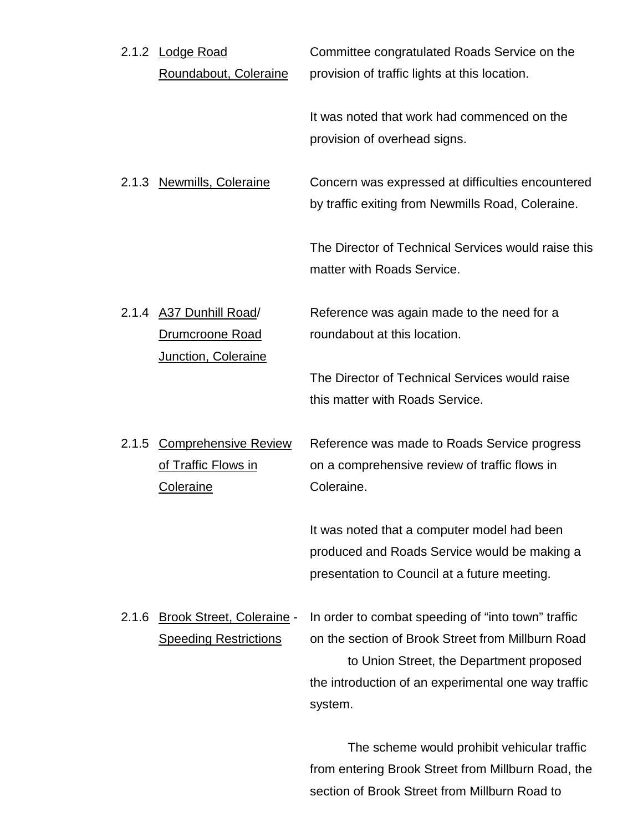|       | 2.1.2 Lodge Road<br>Roundabout, Coleraine                                | Committee congratulated Roads Service on the<br>provision of traffic lights at this location.                                                                                                                         |
|-------|--------------------------------------------------------------------------|-----------------------------------------------------------------------------------------------------------------------------------------------------------------------------------------------------------------------|
|       |                                                                          | It was noted that work had commenced on the<br>provision of overhead signs.                                                                                                                                           |
|       | 2.1.3 Newmills, Coleraine                                                | Concern was expressed at difficulties encountered<br>by traffic exiting from Newmills Road, Coleraine.                                                                                                                |
|       |                                                                          | The Director of Technical Services would raise this<br>matter with Roads Service.                                                                                                                                     |
|       | 2.1.4 A37 Dunhill Road/<br><b>Drumcroone Road</b><br>Junction, Coleraine | Reference was again made to the need for a<br>roundabout at this location.                                                                                                                                            |
|       |                                                                          | The Director of Technical Services would raise<br>this matter with Roads Service.                                                                                                                                     |
|       | 2.1.5 Comprehensive Review<br>of Traffic Flows in<br><b>Coleraine</b>    | Reference was made to Roads Service progress<br>on a comprehensive review of traffic flows in<br>Coleraine.                                                                                                           |
|       |                                                                          | It was noted that a computer model had been<br>produced and Roads Service would be making a<br>presentation to Council at a future meeting.                                                                           |
| 2.1.6 | <b>Brook Street, Coleraine -</b><br><b>Speeding Restrictions</b>         | In order to combat speeding of "into town" traffic<br>on the section of Brook Street from Millburn Road<br>to Union Street, the Department proposed<br>the introduction of an experimental one way traffic<br>system. |
|       |                                                                          | The sebeme would probibit vehinuler treffie                                                                                                                                                                           |

The scheme would prohibit vehicular traffic from entering Brook Street from Millburn Road, the section of Brook Street from Millburn Road to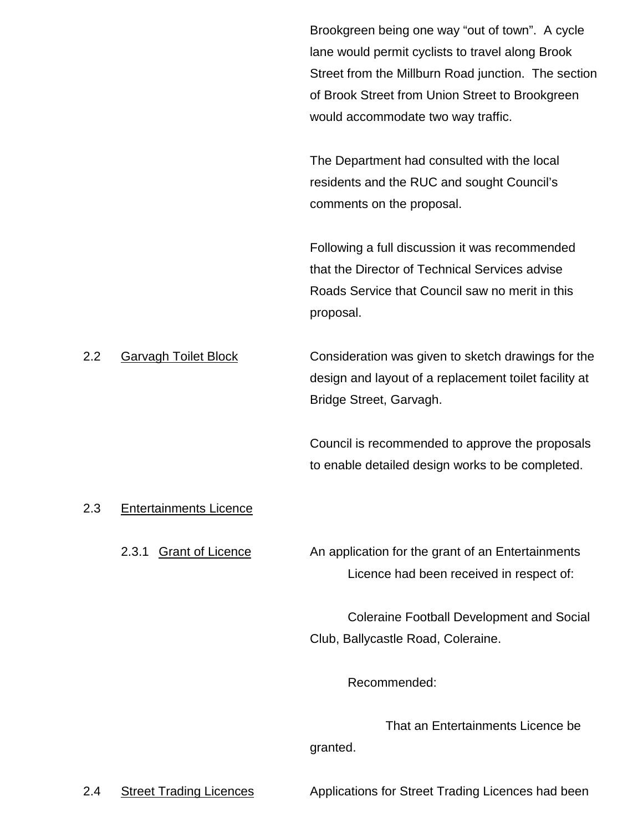Brookgreen being one way "out of town". A cycle lane would permit cyclists to travel along Brook Street from the Millburn Road junction. The section of Brook Street from Union Street to Brookgreen would accommodate two way traffic.

The Department had consulted with the local residents and the RUC and sought Council's comments on the proposal.

Following a full discussion it was recommended that the Director of Technical Services advise Roads Service that Council saw no merit in this proposal.

2.2 Garvagh Toilet Block Consideration was given to sketch drawings for the design and layout of a replacement toilet facility at Bridge Street, Garvagh.

> Council is recommended to approve the proposals to enable detailed design works to be completed.

# 2.3 Entertainments Licence

2.3.1 Grant of Licence An application for the grant of an Entertainments Licence had been received in respect of:

> Coleraine Football Development and Social Club, Ballycastle Road, Coleraine.

> > Recommended:

That an Entertainments Licence be granted.

2.4 Street Trading Licences Applications for Street Trading Licences had been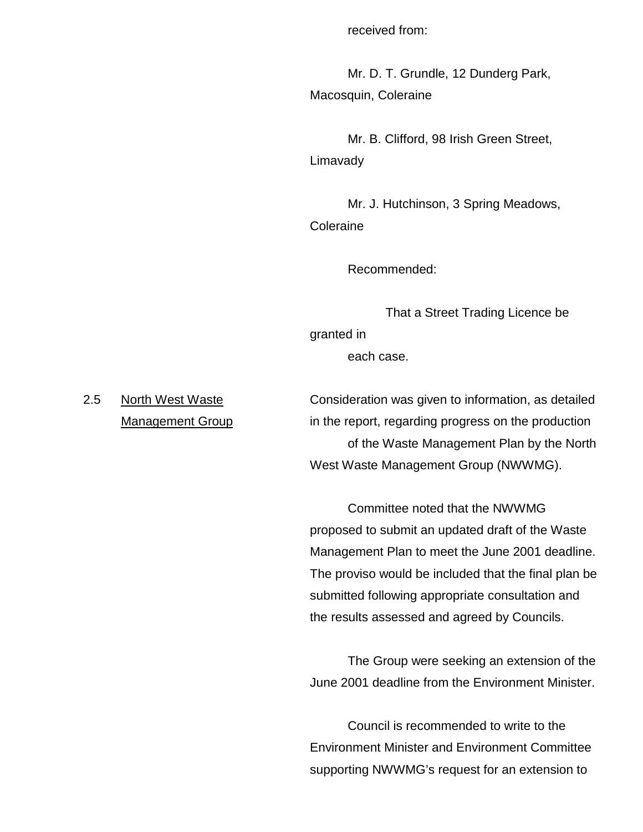received from:

Mr. D. T. Grundle, 12 Dunderg Park, Macosquin, Coleraine

Mr. B. Clifford, 98 Irish Green Street, Limavady

Mr. J. Hutchinson, 3 Spring Meadows, **Coleraine** 

Recommended:

That a Street Trading Licence be granted in each case.

2.5 North West Waste **Consideration was given to information**, as detailed Management Group in the report, regarding progress on the production of the Waste Management Plan by the North West Waste Management Group (NWWMG).

> Committee noted that the NWWMG proposed to submit an updated draft of the Waste Management Plan to meet the June 2001 deadline. The proviso would be included that the final plan be submitted following appropriate consultation and the results assessed and agreed by Councils.

> The Group were seeking an extension of the June 2001 deadline from the Environment Minister.

Council is recommended to write to the Environment Minister and Environment Committee supporting NWWMG's request for an extension to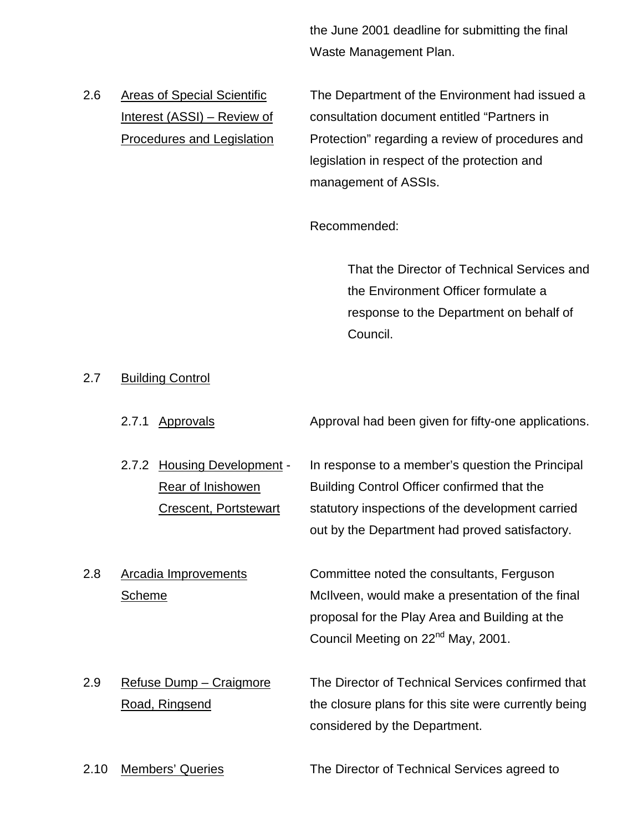the June 2001 deadline for submitting the final Waste Management Plan.

2.6 Areas of Special Scientific The Department of the Environment had issued a Interest (ASSI) – Review of consultation document entitled "Partners in Procedures and Legislation Protection" regarding a review of procedures and legislation in respect of the protection and management of ASSIs.

Recommended:

That the Director of Technical Services and the Environment Officer formulate a response to the Department on behalf of Council.

# 2.7 Building Control

- 2.7.1 Approvals **Approval had been given for fifty-one applications.**
- 2.7.2 Housing Development In response to a member's question the Principal Rear of Inishowen **Building Control Officer confirmed that the** Crescent, Portstewart statutory inspections of the development carried out by the Department had proved satisfactory.
- 2.8 Arcadia Improvements Committee noted the consultants, Ferguson

Scheme **McIlveen, would make a presentation of the final** proposal for the Play Area and Building at the Council Meeting on 22<sup>nd</sup> May, 2001.

- 2.9 Refuse Dump Craigmore The Director of Technical Services confirmed that Road, Ringsend the closure plans for this site were currently being considered by the Department.
- 2.10 Members' Queries The Director of Technical Services agreed to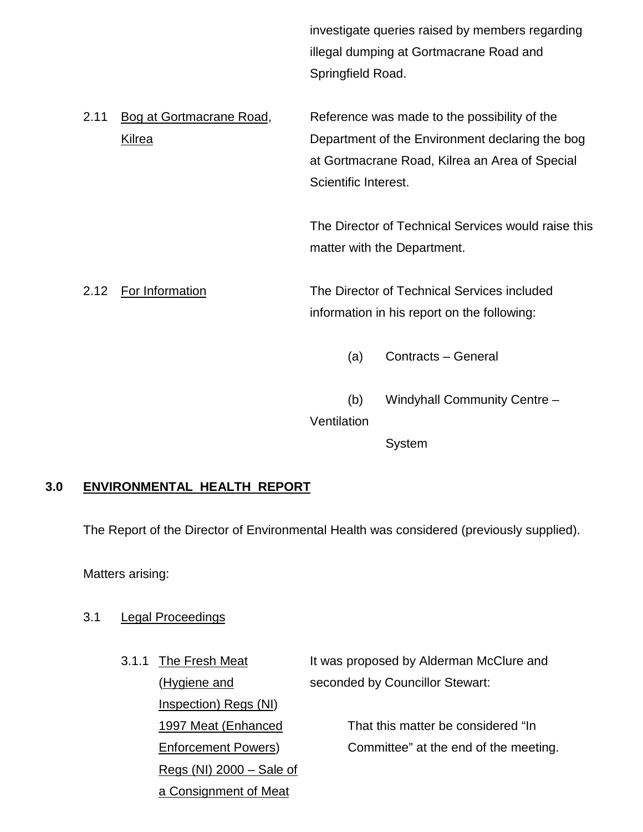investigate queries raised by members regarding illegal dumping at Gortmacrane Road and Springfield Road.

2.11 Bog at Gortmacrane Road, Reference was made to the possibility of the Kilrea **Example 2 CO** Department of the Environment declaring the bog at Gortmacrane Road, Kilrea an Area of Special Scientific Interest.

> The Director of Technical Services would raise this matter with the Department.

2.12 For Information The Director of Technical Services included information in his report on the following:

- (a) Contracts General
- (b) Windyhall Community Centre –

**Ventilation** 

System

# **3.0 ENVIRONMENTAL HEALTH REPORT**

The Report of the Director of Environmental Health was considered (previously supplied).

Matters arising:

# 3.1 Legal Proceedings

Inspection) Regs (NI) Regs (NI) 2000 – Sale of a Consignment of Meat

3.1.1 The Fresh Meat It was proposed by Alderman McClure and (Hygiene and seconded by Councillor Stewart:

1997 Meat (Enhanced That this matter be considered "In Enforcement Powers) Committee" at the end of the meeting.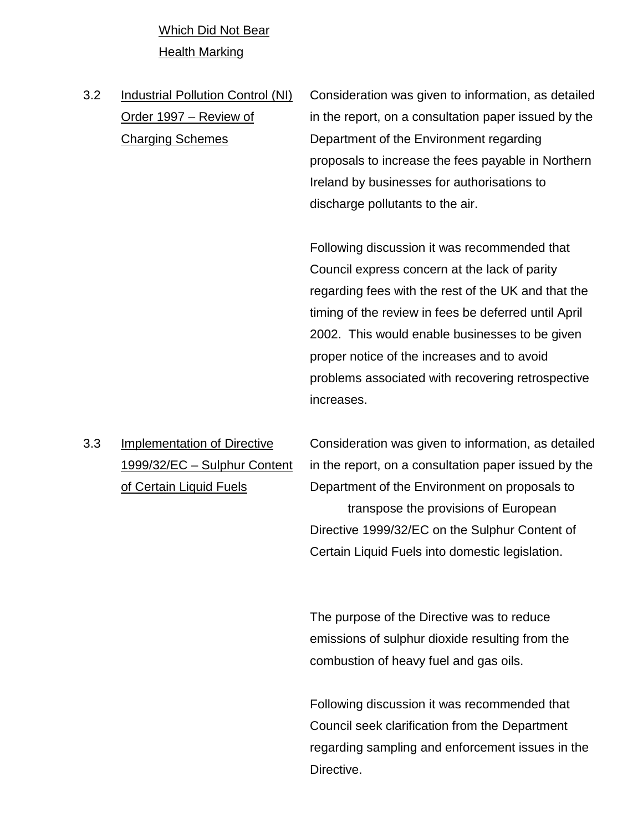Which Did Not Bear Health Marking

- 
- 3.2 Industrial Pollution Control (NI) Consideration was given to information, as detailed Order 1997 – Review of in the report, on a consultation paper issued by the Charging Schemes Department of the Environment regarding proposals to increase the fees payable in Northern Ireland by businesses for authorisations to discharge pollutants to the air.

Following discussion it was recommended that Council express concern at the lack of parity regarding fees with the rest of the UK and that the timing of the review in fees be deferred until April 2002. This would enable businesses to be given proper notice of the increases and to avoid problems associated with recovering retrospective increases.

3.3 Implementation of Directive Consideration was given to information, as detailed 1999/32/EC – Sulphur Content in the report, on a consultation paper issued by the of Certain Liquid Fuels **Department of the Environment on proposals to** transpose the provisions of European Directive 1999/32/EC on the Sulphur Content of Certain Liquid Fuels into domestic legislation.

> The purpose of the Directive was to reduce emissions of sulphur dioxide resulting from the combustion of heavy fuel and gas oils.

Following discussion it was recommended that Council seek clarification from the Department regarding sampling and enforcement issues in the Directive.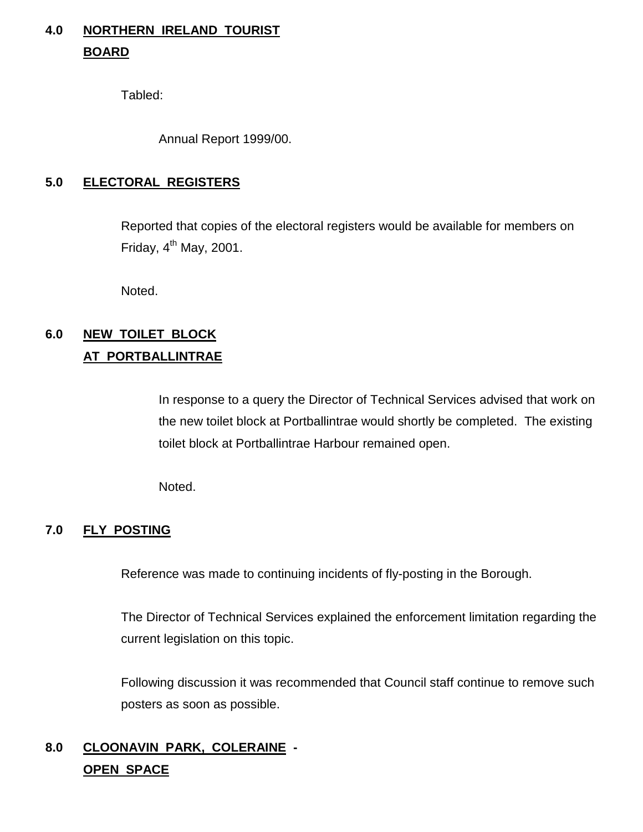# **4.0 NORTHERN IRELAND TOURIST BOARD**

Tabled:

Annual Report 1999/00.

# **5.0 ELECTORAL REGISTERS**

Reported that copies of the electoral registers would be available for members on Friday,  $4<sup>th</sup>$  May, 2001.

Noted.

# **6.0 NEW TOILET BLOCK AT PORTBALLINTRAE**

In response to a query the Director of Technical Services advised that work on the new toilet block at Portballintrae would shortly be completed. The existing toilet block at Portballintrae Harbour remained open.

Noted.

# **7.0 FLY POSTING**

Reference was made to continuing incidents of fly-posting in the Borough.

The Director of Technical Services explained the enforcement limitation regarding the current legislation on this topic.

Following discussion it was recommended that Council staff continue to remove such posters as soon as possible.

# **8.0 CLOONAVIN PARK, COLERAINE - OPEN SPACE**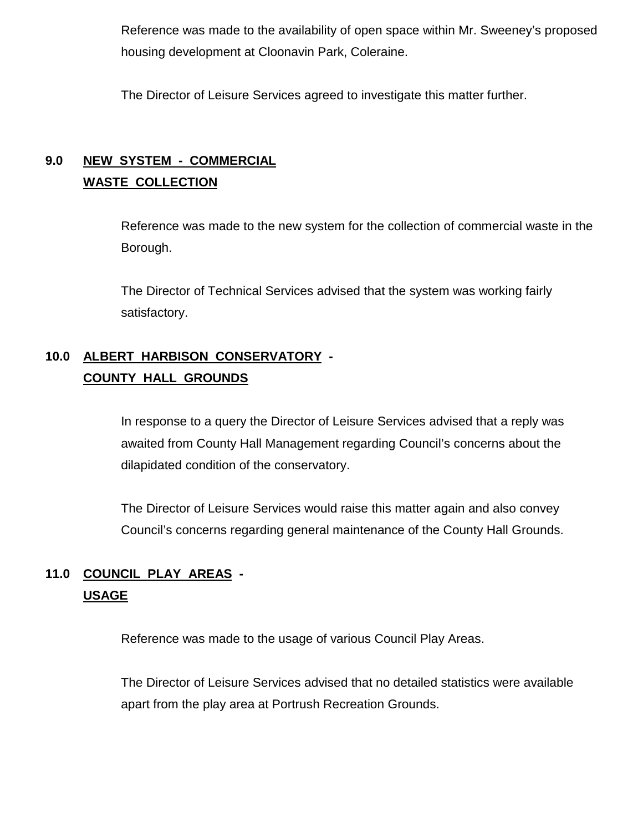Reference was made to the availability of open space within Mr. Sweeney's proposed housing development at Cloonavin Park, Coleraine.

The Director of Leisure Services agreed to investigate this matter further.

# **9.0 NEW SYSTEM - COMMERCIAL WASTE COLLECTION**

Reference was made to the new system for the collection of commercial waste in the Borough.

The Director of Technical Services advised that the system was working fairly satisfactory.

# **10.0 ALBERT HARBISON CONSERVATORY - COUNTY HALL GROUNDS**

In response to a query the Director of Leisure Services advised that a reply was awaited from County Hall Management regarding Council's concerns about the dilapidated condition of the conservatory.

The Director of Leisure Services would raise this matter again and also convey Council's concerns regarding general maintenance of the County Hall Grounds.

# **11.0 COUNCIL PLAY AREAS - USAGE**

Reference was made to the usage of various Council Play Areas.

The Director of Leisure Services advised that no detailed statistics were available apart from the play area at Portrush Recreation Grounds.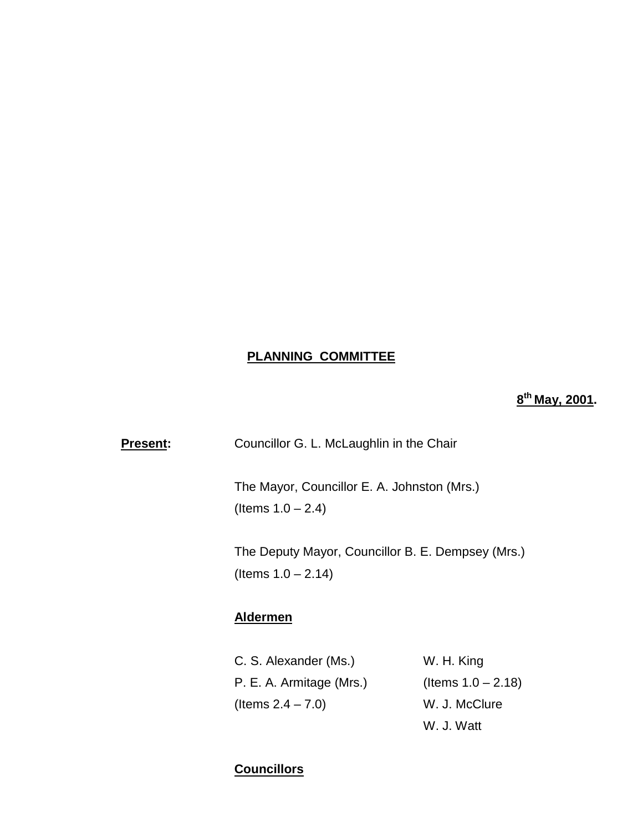# **PLANNING COMMITTEE**

**8th May, 2001.**

| <b>Present:</b> | Councillor G. L. McLaughlin in the Chair                                   |            |  |  |
|-----------------|----------------------------------------------------------------------------|------------|--|--|
|                 | The Mayor, Councillor E. A. Johnston (Mrs.)<br>(Items $1.0 - 2.4$ )        |            |  |  |
|                 | The Deputy Mayor, Councillor B. E. Dempsey (Mrs.)<br>(Items $1.0 - 2.14$ ) |            |  |  |
|                 | <b>Aldermen</b>                                                            |            |  |  |
|                 | C. S. Alexander (Ms.)                                                      | W. H. King |  |  |

| C. S. Alexander (Ms.)    | W. H. King            |
|--------------------------|-----------------------|
| P. E. A. Armitage (Mrs.) | (Items $1.0 - 2.18$ ) |
| (Items $2.4 - 7.0$ )     | W. J. McClure         |
|                          | W. J. Watt            |

# **Councillors**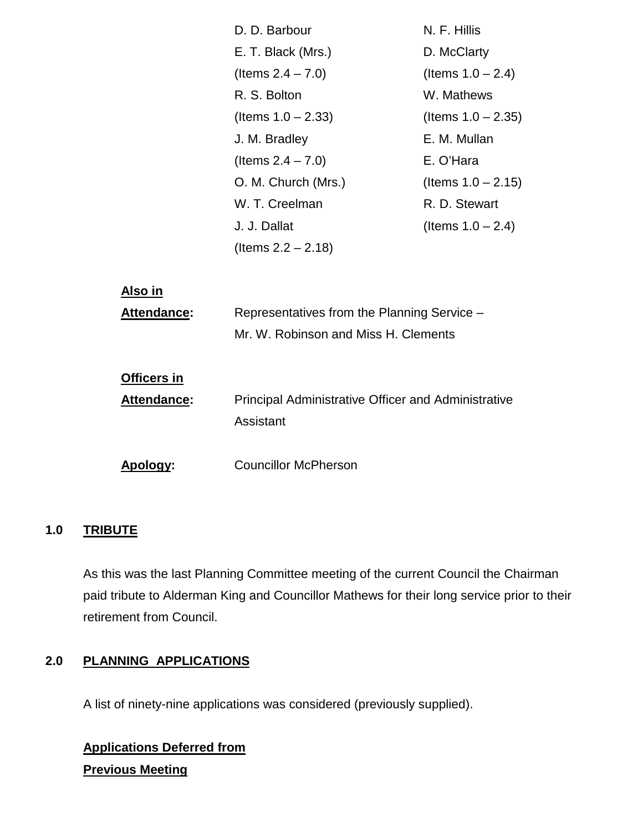|                    | D. D. Barbour                                              | N. F. Hillis          |
|--------------------|------------------------------------------------------------|-----------------------|
|                    | E. T. Black (Mrs.)                                         | D. McClarty           |
|                    | (Items $2.4 - 7.0$ )                                       | (Items $1.0 - 2.4$ )  |
|                    | R. S. Bolton                                               | W. Mathews            |
|                    | (Items $1.0 - 2.33$ )                                      | (Items $1.0 - 2.35$ ) |
|                    | J. M. Bradley                                              | E. M. Mullan          |
|                    | (Items $2.4 - 7.0$ )                                       | E. O'Hara             |
|                    | O. M. Church (Mrs.)                                        | (Items $1.0 - 2.15$ ) |
|                    | W. T. Creelman                                             | R. D. Stewart         |
|                    | J. J. Dallat                                               | (Items $1.0 - 2.4$ )  |
|                    | (Items $2.2 - 2.18$ )                                      |                       |
|                    |                                                            |                       |
| Also in            |                                                            |                       |
| Attendance:        | Representatives from the Planning Service -                |                       |
|                    | Mr. W. Robinson and Miss H. Clements                       |                       |
|                    |                                                            |                       |
| <b>Officers in</b> |                                                            |                       |
| Attendance:        | <b>Principal Administrative Officer and Administrative</b> |                       |
|                    | Assistant                                                  |                       |
|                    |                                                            |                       |
| <u>Apology:</u>    | <b>Councillor McPherson</b>                                |                       |

# **1.0 TRIBUTE**

As this was the last Planning Committee meeting of the current Council the Chairman paid tribute to Alderman King and Councillor Mathews for their long service prior to their retirement from Council.

# **2.0 PLANNING APPLICATIONS**

A list of ninety-nine applications was considered (previously supplied).

**Applications Deferred from Previous Meeting**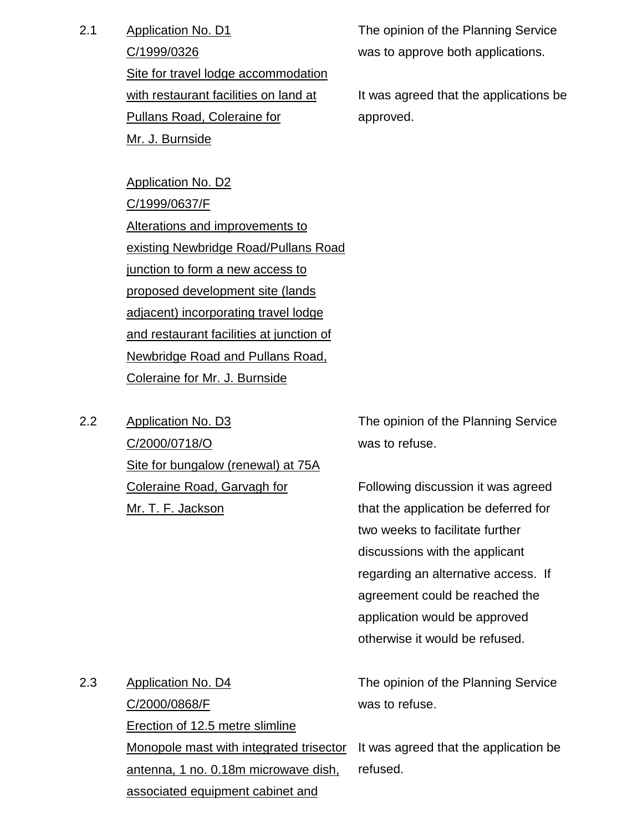2.1 Application No. D1

C/1999/0326

Site for travel lodge accommodation with restaurant facilities on land at Pullans Road, Coleraine for Mr. J. Burnside

Application No. D2 C/1999/0637/F Alterations and improvements to existing Newbridge Road/Pullans Road junction to form a new access to proposed development site (lands adjacent) incorporating travel lodge and restaurant facilities at junction of Newbridge Road and Pullans Road, Coleraine for Mr. J. Burnside

2.2 Application No. D3 C/2000/0718/O Site for bungalow (renewal) at 75A Coleraine Road, Garvagh for Mr. T. F. Jackson

The opinion of the Planning Service was to approve both applications.

It was agreed that the applications be approved.

The opinion of the Planning Service was to refuse.

Following discussion it was agreed that the application be deferred for two weeks to facilitate further discussions with the applicant regarding an alternative access. If agreement could be reached the application would be approved otherwise it would be refused.

| 2.3 | Application No. D4                                                            | The opinion of the Planning Service |
|-----|-------------------------------------------------------------------------------|-------------------------------------|
|     | C/2000/0868/F                                                                 | was to refuse.                      |
|     | Erection of 12.5 metre slimline                                               |                                     |
|     | Monopole mast with integrated trisector It was agreed that the application be |                                     |
|     | antenna, 1 no. 0.18m microwave dish,                                          | refused.                            |
|     | associated equipment cabinet and                                              |                                     |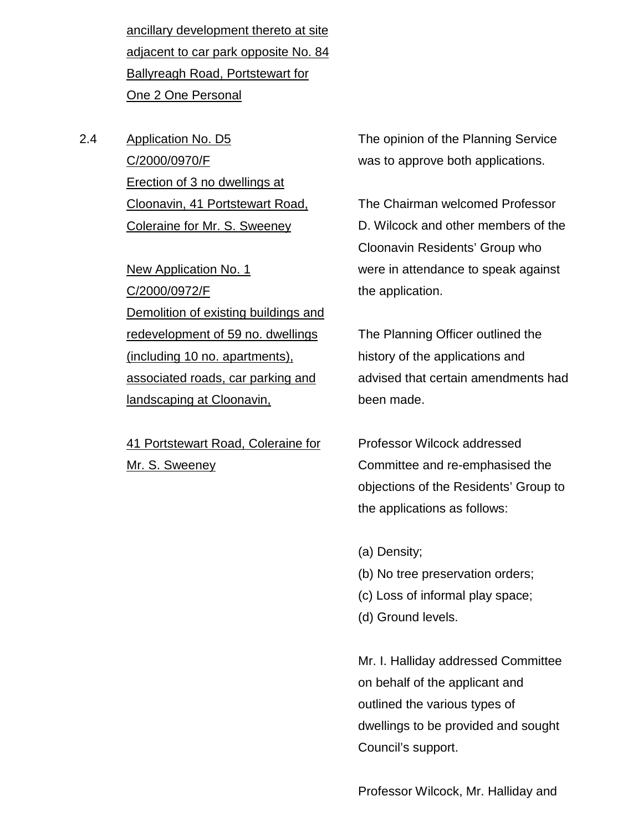ancillary development thereto at site adjacent to car park opposite No. 84 Ballyreagh Road, Portstewart for One 2 One Personal

2.4 Application No. D5 C/2000/0970/F Erection of 3 no dwellings at Cloonavin, 41 Portstewart Road, Coleraine for Mr. S. Sweeney

> New Application No. 1 C/2000/0972/F Demolition of existing buildings and redevelopment of 59 no. dwellings (including 10 no. apartments), associated roads, car parking and landscaping at Cloonavin,

41 Portstewart Road, Coleraine for Mr. S. Sweeney

The opinion of the Planning Service was to approve both applications.

The Chairman welcomed Professor D. Wilcock and other members of the Cloonavin Residents' Group who were in attendance to speak against the application.

The Planning Officer outlined the history of the applications and advised that certain amendments had been made.

Professor Wilcock addressed Committee and re-emphasised the objections of the Residents' Group to the applications as follows:

- (a) Density;
- (b) No tree preservation orders;
- (c) Loss of informal play space;
- (d) Ground levels.

Mr. I. Halliday addressed Committee on behalf of the applicant and outlined the various types of dwellings to be provided and sought Council's support.

Professor Wilcock, Mr. Halliday and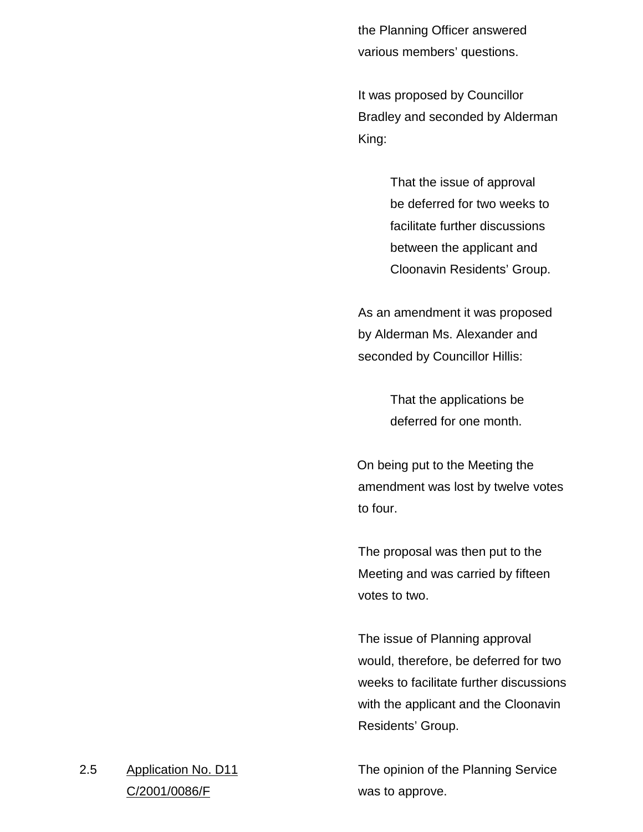the Planning Officer answered various members' questions.

It was proposed by Councillor Bradley and seconded by Alderman King:

> That the issue of approval be deferred for two weeks to facilitate further discussions between the applicant and Cloonavin Residents' Group.

As an amendment it was proposed by Alderman Ms. Alexander and seconded by Councillor Hillis:

> That the applications be deferred for one month.

On being put to the Meeting the amendment was lost by twelve votes to four.

The proposal was then put to the Meeting and was carried by fifteen votes to two.

The issue of Planning approval would, therefore, be deferred for two weeks to facilitate further discussions with the applicant and the Cloonavin Residents' Group.

The opinion of the Planning Service was to approve.

2.5 Application No. D11 C/2001/0086/F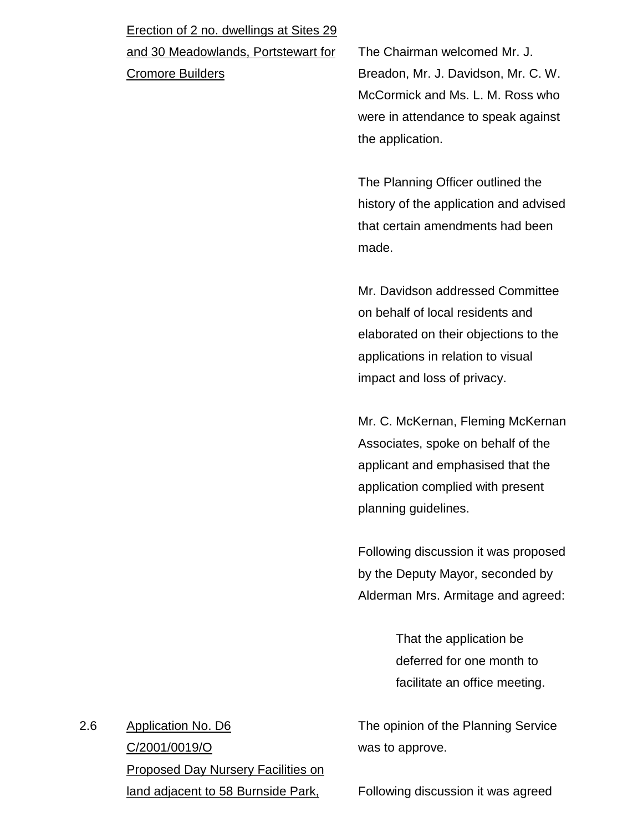# Erection of 2 no. dwellings at Sites 29

and 30 Meadowlands, Portstewart for

Cromore Builders

The Chairman welcomed Mr. J. Breadon, Mr. J. Davidson, Mr. C. W. McCormick and Ms. L. M. Ross who were in attendance to speak against the application.

The Planning Officer outlined the history of the application and advised that certain amendments had been made.

Mr. Davidson addressed Committee on behalf of local residents and elaborated on their objections to the applications in relation to visual impact and loss of privacy.

Mr. C. McKernan, Fleming McKernan Associates, spoke on behalf of the applicant and emphasised that the application complied with present planning guidelines.

Following discussion it was proposed by the Deputy Mayor, seconded by Alderman Mrs. Armitage and agreed:

> That the application be deferred for one month to facilitate an office meeting.

The opinion of the Planning Service was to approve.

2.6 Application No. D6 C/2001/0019/O Proposed Day Nursery Facilities on land adjacent to 58 Burnside Park,

Following discussion it was agreed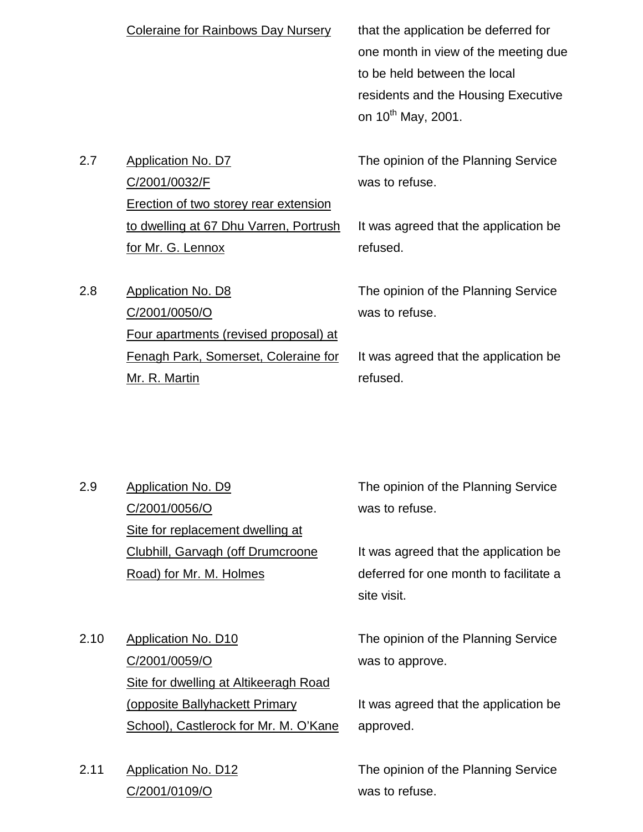|     | <b>Coleraine for Rainbows Day Nursery</b>                                                  | that the application be deferred for<br>one month in view of the meeting due<br>to be held between the local<br>residents and the Housing Executive<br>on 10 <sup>th</sup> May, 2001. |
|-----|--------------------------------------------------------------------------------------------|---------------------------------------------------------------------------------------------------------------------------------------------------------------------------------------|
| 2.7 | <b>Application No. D7</b><br>C/2001/0032/F<br><b>Erection of two storey rear extension</b> | The opinion of the Planning Service<br>was to refuse.                                                                                                                                 |
|     | to dwelling at 67 Dhu Varren, Portrush                                                     | It was agreed that the application be                                                                                                                                                 |
|     | for Mr. G. Lennox                                                                          | refused.                                                                                                                                                                              |
| 2.8 | <b>Application No. D8</b><br>C/2001/0050/O<br><u>Four apartments (revised proposal) at</u> | The opinion of the Planning Service<br>was to refuse.                                                                                                                                 |
|     | Fenagh Park, Somerset, Coleraine for                                                       | It was agreed that the application be                                                                                                                                                 |
|     | Mr. R. Martin                                                                              | refused.                                                                                                                                                                              |

- 2.9 Application No. D9 C/2001/0056/O Site for replacement dwelling at Clubhill, Garvagh (off Drumcroone Road) for Mr. M. Holmes
- 2.10 Application No. D10 C/2001/0059/O Site for dwelling at Altikeeragh Road (opposite Ballyhackett Primary School), Castlerock for Mr. M. O'Kane
- 2.11 Application No. D12 C/2001/0109/O

The opinion of the Planning Service was to refuse.

It was agreed that the application be deferred for one month to facilitate a site visit.

The opinion of the Planning Service was to approve.

It was agreed that the application be approved.

The opinion of the Planning Service was to refuse.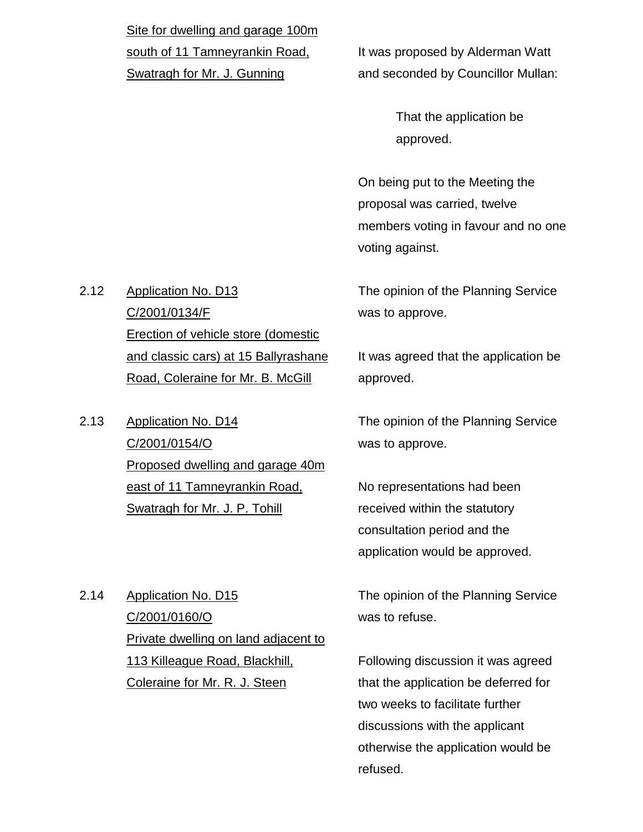Site for dwelling and garage 100m south of 11 Tamneyrankin Road, Swatragh for Mr. J. Gunning

It was proposed by Alderman Watt and seconded by Councillor Mullan:

> That the application be approved.

On being put to the Meeting the proposal was carried, twelve members voting in favour and no one voting against.

The opinion of the Planning Service was to approve.

It was agreed that the application be approved.

The opinion of the Planning Service was to approve.

No representations had been received within the statutory consultation period and the application would be approved.

The opinion of the Planning Service was to refuse.

Following discussion it was agreed that the application be deferred for two weeks to facilitate further discussions with the applicant otherwise the application would be refused.

2.12 Application No. D13 C/2001/0134/F Erection of vehicle store (domestic and classic cars) at 15 Ballyrashane Road, Coleraine for Mr. B. McGill

2.13 Application No. D14 C/2001/0154/O Proposed dwelling and garage 40m east of 11 Tamneyrankin Road, Swatragh for Mr. J. P. Tohill

2.14 Application No. D15 C/2001/0160/O Private dwelling on land adjacent to 113 Killeague Road, Blackhill, Coleraine for Mr. R. J. Steen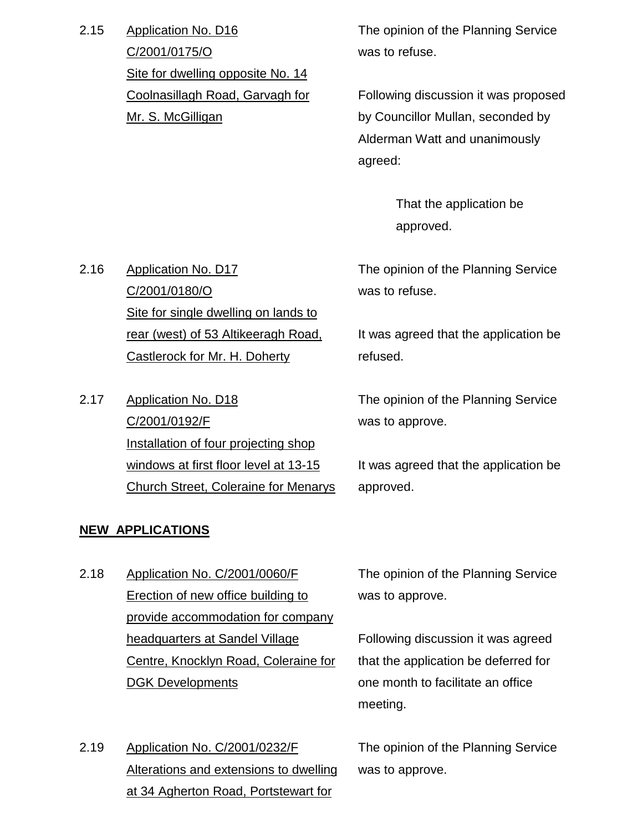2.15 Application No. D16 C/2001/0175/O Site for dwelling opposite No. 14 Coolnasillagh Road, Garvagh for Mr. S. McGilligan

The opinion of the Planning Service was to refuse.

Following discussion it was proposed by Councillor Mullan, seconded by Alderman Watt and unanimously agreed:

> That the application be approved.

The opinion of the Planning Service was to refuse.

It was agreed that the application be refused.

The opinion of the Planning Service was to approve.

It was agreed that the application be approved.

# Church Street, Coleraine for Menarys

2.17 Application No. D18

C/2001/0192/F

2.16 Application No. D17

C/2001/0180/O

Site for single dwelling on lands to

rear (west) of 53 Altikeeragh Road,

Installation of four projecting shop

windows at first floor level at 13-15

Castlerock for Mr. H. Doherty

# **NEW APPLICATIONS**

- 2.18 Application No. C/2001/0060/F Erection of new office building to provide accommodation for company headquarters at Sandel Village Centre, Knocklyn Road, Coleraine for DGK Developments
- 2.19 Application No. C/2001/0232/F Alterations and extensions to dwelling at 34 Agherton Road, Portstewart for

The opinion of the Planning Service was to approve.

Following discussion it was agreed that the application be deferred for one month to facilitate an office meeting.

The opinion of the Planning Service was to approve.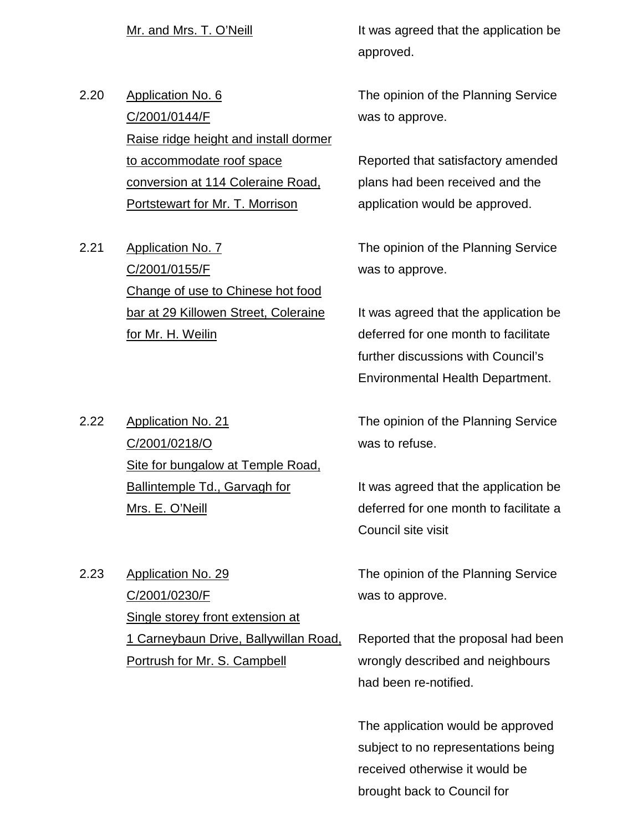2.20 Application No. 6 C/2001/0144/F Raise ridge height and install dormer to accommodate roof space conversion at 114 Coleraine Road, Portstewart for Mr. T. Morrison

2.21 Application No. 7 C/2001/0155/F Change of use to Chinese hot food bar at 29 Killowen Street, Coleraine for Mr. H. Weilin

2.22 Application No. 21 C/2001/0218/O Site for bungalow at Temple Road, Ballintemple Td., Garvagh for Mrs. E. O'Neill

2.23 Application No. 29 C/2001/0230/F Single storey front extension at 1 Carneybaun Drive, Ballywillan Road, Portrush for Mr. S. Campbell

Mr. and Mrs. T. O'Neill **It was agreed that the application be** approved.

> The opinion of the Planning Service was to approve.

> Reported that satisfactory amended plans had been received and the application would be approved.

> The opinion of the Planning Service was to approve.

It was agreed that the application be deferred for one month to facilitate further discussions with Council's Environmental Health Department.

The opinion of the Planning Service was to refuse.

It was agreed that the application be deferred for one month to facilitate a Council site visit

The opinion of the Planning Service was to approve.

Reported that the proposal had been wrongly described and neighbours had been re-notified.

The application would be approved subject to no representations being received otherwise it would be brought back to Council for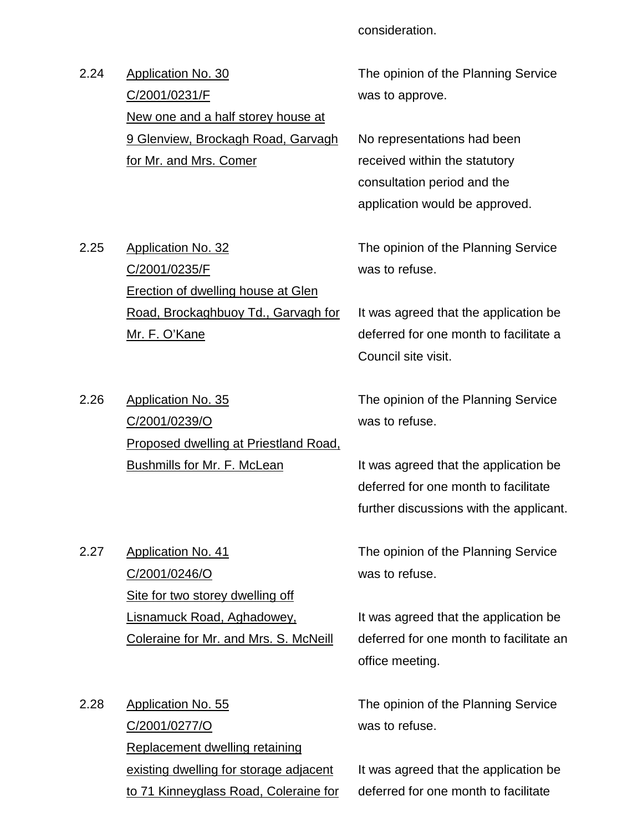consideration.

2.24 Application No. 30 C/2001/0231/F New one and a half storey house at 9 Glenview, Brockagh Road, Garvagh for Mr. and Mrs. Comer

The opinion of the Planning Service was to approve.

No representations had been received within the statutory consultation period and the application would be approved.

2.25 Application No. 32 C/2001/0235/F Erection of dwelling house at Glen Road, Brockaghbuoy Td., Garvagh for Mr. F. O'Kane

was to refuse.

The opinion of the Planning Service

It was agreed that the application be deferred for one month to facilitate a Council site visit.

2.26 Application No. 35 C/2001/0239/O Proposed dwelling at Priestland Road, **Bushmills for Mr. F. McLean** 

The opinion of the Planning Service was to refuse.

It was agreed that the application be deferred for one month to facilitate further discussions with the applicant.

2.27 Application No. 41 C/2001/0246/O Site for two storey dwelling off Lisnamuck Road, Aghadowey, Coleraine for Mr. and Mrs. S. McNeill

2.28 Application No. 55 C/2001/0277/O Replacement dwelling retaining existing dwelling for storage adjacent to 71 Kinneyglass Road, Coleraine for The opinion of the Planning Service was to refuse.

It was agreed that the application be deferred for one month to facilitate an office meeting.

The opinion of the Planning Service was to refuse.

It was agreed that the application be deferred for one month to facilitate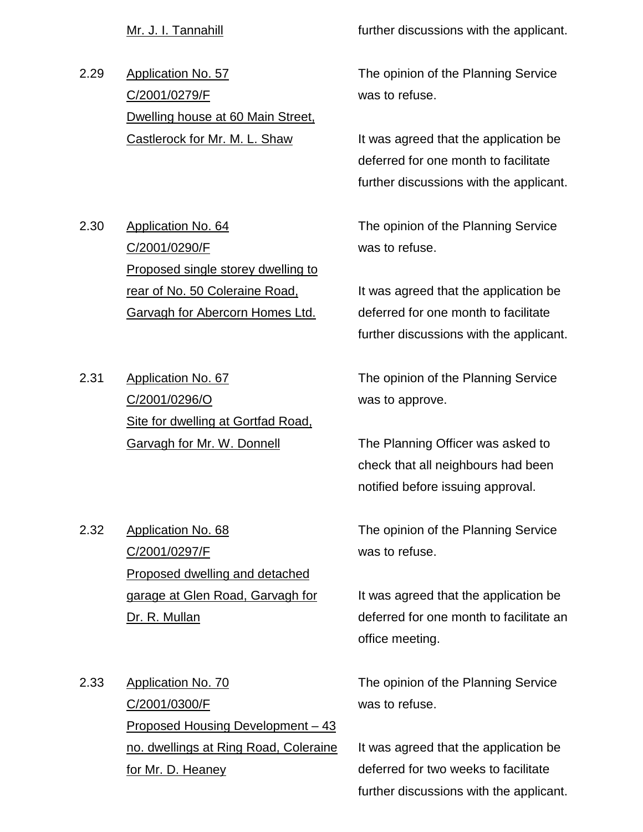2.29 Application No. 57 C/2001/0279/F Dwelling house at 60 Main Street, Castlerock for Mr. M. L. Shaw

Mr. J. I. Tannahill **Example 20** further discussions with the applicant.

The opinion of the Planning Service was to refuse.

It was agreed that the application be deferred for one month to facilitate further discussions with the applicant.

The opinion of the Planning Service was to refuse.

It was agreed that the application be deferred for one month to facilitate further discussions with the applicant.

The opinion of the Planning Service was to approve.

The Planning Officer was asked to check that all neighbours had been notified before issuing approval.

2.32 Application No. 68 C/2001/0297/F Proposed dwelling and detached garage at Glen Road, Garvagh for Dr. R. Mullan

The opinion of the Planning Service was to refuse.

It was agreed that the application be deferred for one month to facilitate an office meeting.

2.33 Application No. 70 C/2001/0300/F Proposed Housing Development – 43 no. dwellings at Ring Road, Coleraine for Mr. D. Heaney

The opinion of the Planning Service was to refuse.

It was agreed that the application be deferred for two weeks to facilitate further discussions with the applicant.

- 2.30 Application No. 64 C/2001/0290/F Proposed single storey dwelling to rear of No. 50 Coleraine Road, Garvagh for Abercorn Homes Ltd.
- 2.31 Application No. 67 C/2001/0296/O Site for dwelling at Gortfad Road, Garvagh for Mr. W. Donnell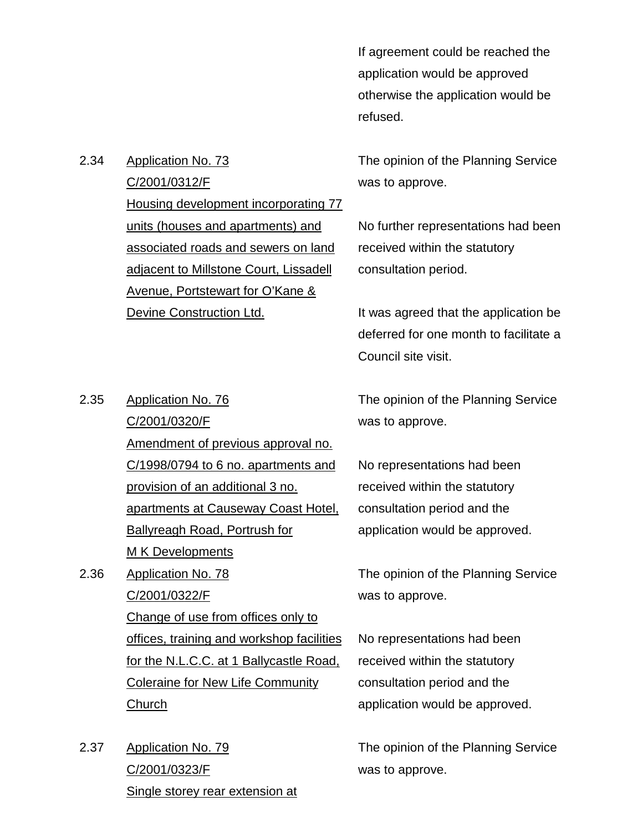If agreement could be reached the application would be approved otherwise the application would be refused.

The opinion of the Planning Service was to approve.

No further representations had been received within the statutory consultation period.

It was agreed that the application be deferred for one month to facilitate a Council site visit.

The opinion of the Planning Service was to approve.

No representations had been received within the statutory consultation period and the application would be approved.

The opinion of the Planning Service was to approve.

No representations had been received within the statutory consultation period and the application would be approved.

The opinion of the Planning Service was to approve.

2.34 Application No. 73

C/2001/0312/F Housing development incorporating 77 units (houses and apartments) and associated roads and sewers on land adjacent to Millstone Court, Lissadell Avenue, Portstewart for O'Kane & Devine Construction Ltd.

C/2001/0320/F Amendment of previous approval no. C/1998/0794 to 6 no. apartments and provision of an additional 3 no. apartments at Causeway Coast Hotel, Ballyreagh Road, Portrush for **M K Developments** 

- 2.36 Application No. 78 C/2001/0322/F Change of use from offices only to offices, training and workshop facilities for the N.L.C.C. at 1 Ballycastle Road, Coleraine for New Life Community Church
- 2.37 Application No. 79 C/2001/0323/F Single storey rear extension at

2.35 Application No. 76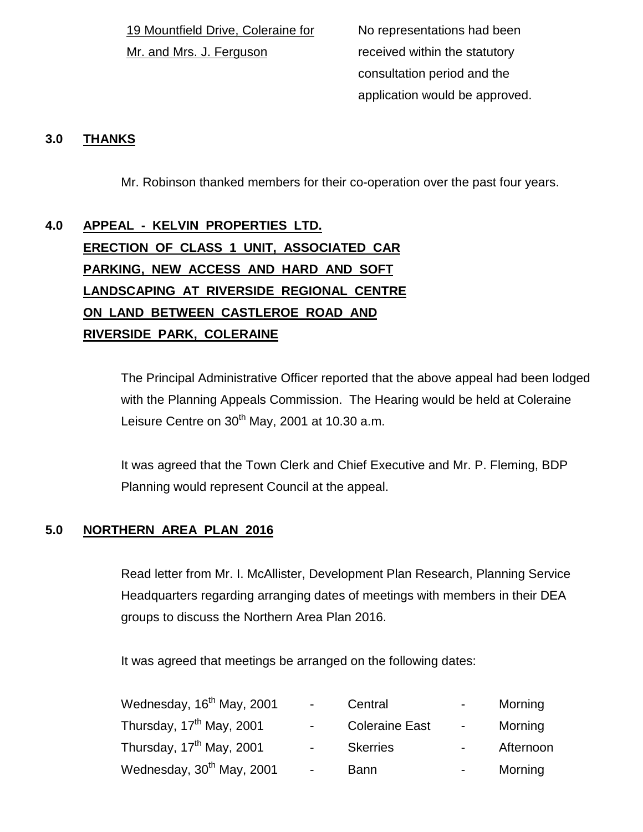19 Mountfield Drive, Coleraine for Mr. and Mrs. J. Ferguson

No representations had been received within the statutory consultation period and the application would be approved.

# **3.0 THANKS**

Mr. Robinson thanked members for their co-operation over the past four years.

# **4.0 APPEAL - KELVIN PROPERTIES LTD. ERECTION OF CLASS 1 UNIT, ASSOCIATED CAR PARKING, NEW ACCESS AND HARD AND SOFT LANDSCAPING AT RIVERSIDE REGIONAL CENTRE ON LAND BETWEEN CASTLEROE ROAD AND RIVERSIDE PARK, COLERAINE**

The Principal Administrative Officer reported that the above appeal had been lodged with the Planning Appeals Commission. The Hearing would be held at Coleraine Leisure Centre on  $30<sup>th</sup>$  May, 2001 at 10.30 a.m.

It was agreed that the Town Clerk and Chief Executive and Mr. P. Fleming, BDP Planning would represent Council at the appeal.

# **5.0 NORTHERN AREA PLAN 2016**

Read letter from Mr. I. McAllister, Development Plan Research, Planning Service Headquarters regarding arranging dates of meetings with members in their DEA groups to discuss the Northern Area Plan 2016.

It was agreed that meetings be arranged on the following dates:

| Wednesday, 16 <sup>th</sup> May, 2001 | $\sim 100$               | Central               | $\sim 100$ | Morning   |
|---------------------------------------|--------------------------|-----------------------|------------|-----------|
| Thursday, 17 <sup>th</sup> May, 2001  | $\sim 100$               | <b>Coleraine East</b> | $\sim 100$ | Morning   |
| Thursday, 17 <sup>th</sup> May, 2001  | $\sim 100$               | <b>Skerries</b>       | $\sim 100$ | Afternoon |
| Wednesday, 30 <sup>th</sup> May, 2001 | $\overline{\phantom{a}}$ | <b>Bann</b>           | $\sim 100$ | Morning   |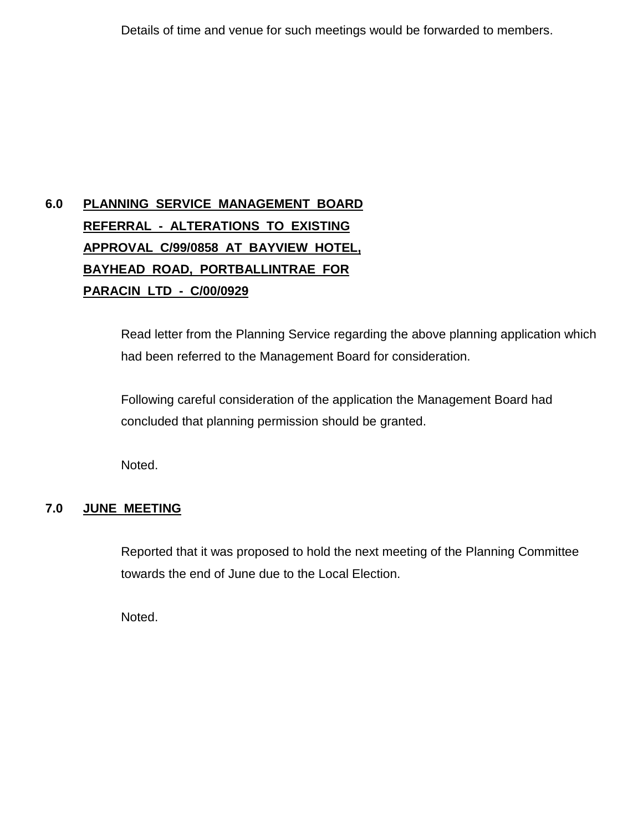# **6.0 PLANNING SERVICE MANAGEMENT BOARD REFERRAL - ALTERATIONS TO EXISTING APPROVAL C/99/0858 AT BAYVIEW HOTEL, BAYHEAD ROAD, PORTBALLINTRAE FOR PARACIN LTD - C/00/0929**

Read letter from the Planning Service regarding the above planning application which had been referred to the Management Board for consideration.

Following careful consideration of the application the Management Board had concluded that planning permission should be granted.

Noted.

# **7.0 JUNE MEETING**

Reported that it was proposed to hold the next meeting of the Planning Committee towards the end of June due to the Local Election.

Noted.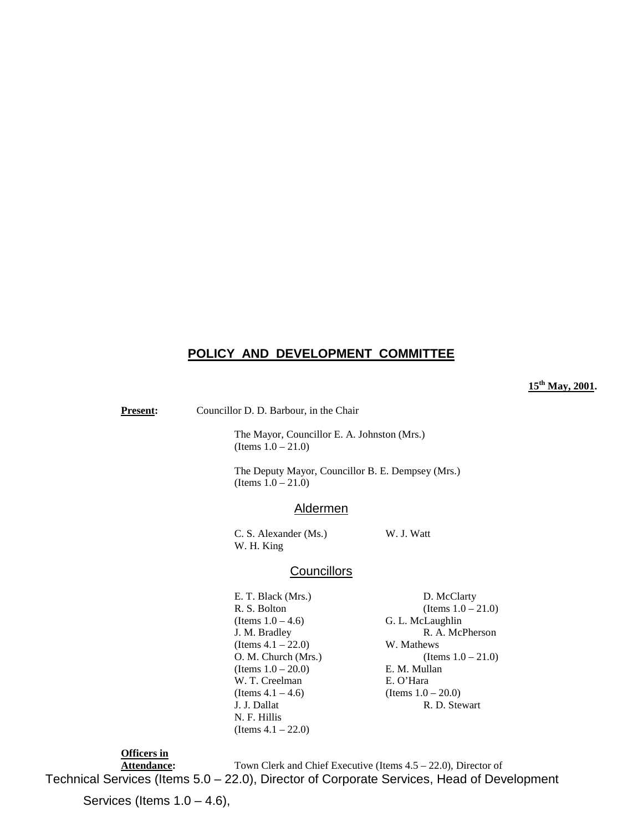# **POLICY AND DEVELOPMENT COMMITTEE**

**15th May, 2001.**

**Present:** Councillor D. D. Barbour, in the Chair

The Mayor, Councillor E. A. Johnston (Mrs.) (Items  $1.0 - 21.0$ )

The Deputy Mayor, Councillor B. E. Dempsey (Mrs.) (Items  $1.0 - 21.0$ )

#### Aldermen

C. S. Alexander (Ms.) W. J. Watt W. H. King

# **Councillors**

E. T. Black (Mrs.) D. McClarty R. S. Bolton (Items  $1.0 - 21.0$ ) (Items  $1.0 - 4.6$ ) G. L. McLaughlin J. M. Bradley R. A. McPherson (Items  $4.1 - 22.0$ ) W. Mathews O. M. Church (Mrs.) (Items  $1.0 - 21.0$ ) (Items  $1.0 - 20.0$ ) E. M. Mullan W. T. Creelman E. O'Hara (Items  $4.1 - 4.6$ ) (Items  $1.0 - 20.0$ ) J. J. Dallat R. D. Stewart N. F. Hillis (Items 4.1 – 22.0)

**Officers in** Attendance: Town Clerk and Chief Executive (Items 4.5 – 22.0), Director of Technical Services (Items 5.0 – 22.0), Director of Corporate Services, Head of Development

Services (Items  $1.0 - 4.6$ ),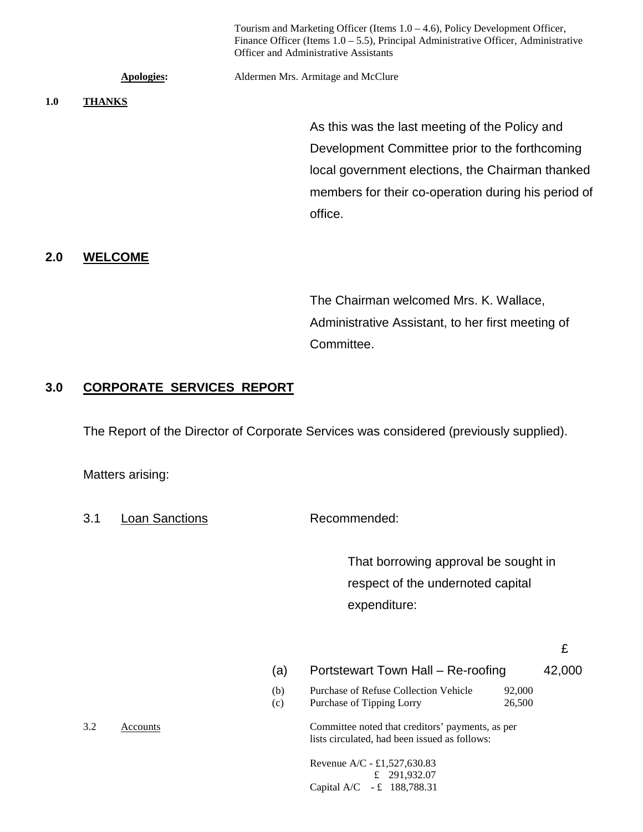|     |               | Tourism and Marketing Officer (Items $1.0 - 4.6$ ), Policy Development Officer,<br>Finance Officer (Items $1.0 - 5.5$ ), Principal Administrative Officer, Administrative<br>Officer and Administrative Assistants |
|-----|---------------|--------------------------------------------------------------------------------------------------------------------------------------------------------------------------------------------------------------------|
|     | Apologies:    | Aldermen Mrs. Armitage and McClure                                                                                                                                                                                 |
| 1.0 | <b>THANKS</b> |                                                                                                                                                                                                                    |
|     |               | As this was the last meeting of the Policy and                                                                                                                                                                     |
|     |               | Development Committee prior to the forthcoming                                                                                                                                                                     |
|     |               | local government elections, the Chairman thanked                                                                                                                                                                   |
|     |               | members for their co-operation during his period of                                                                                                                                                                |
|     |               | office.                                                                                                                                                                                                            |
|     |               |                                                                                                                                                                                                                    |

# **2.0 WELCOME**

The Chairman welcomed Mrs. K. Wallace, Administrative Assistant, to her first meeting of Committee.

# **3.0 CORPORATE SERVICES REPORT**

The Report of the Director of Corporate Services was considered (previously supplied).

Matters arising:

3.1 Loan Sanctions Recommended:

That borrowing approval be sought in respect of the undernoted capital expenditure:

£

(a) Portstewart Town Hall – Re-roofing 42,000

(b) Purchase of Refuse Collection Vehicle 92,000 (c) Purchase of Tipping Lorry 26,500

3.2 Accounts Committee noted that creditors' payments, as per lists circulated, had been issued as follows:

> Revenue A/C - £1,527,630.83 £ 291,932.07 Capital A/C - £ 188,788.31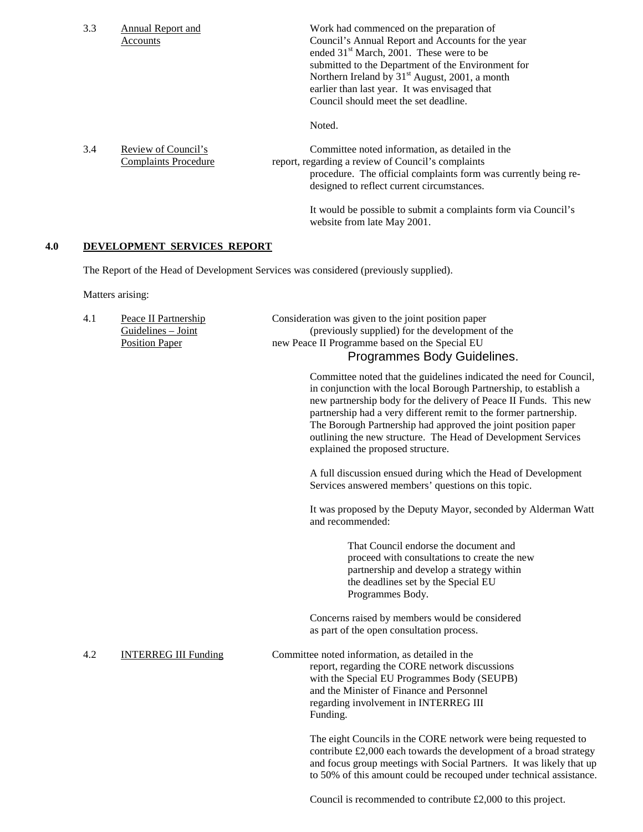|     | 3.3 | <b>Annual Report and</b><br>Accounts                                | Work had commenced on the preparation of<br>Council's Annual Report and Accounts for the year<br>ended 31 <sup>st</sup> March, 2001. These were to be<br>submitted to the Department of the Environment for<br>Northern Ireland by 31 <sup>st</sup> August, 2001, a month<br>earlier than last year. It was envisaged that<br>Council should meet the set deadline.                                                                                       |
|-----|-----|---------------------------------------------------------------------|-----------------------------------------------------------------------------------------------------------------------------------------------------------------------------------------------------------------------------------------------------------------------------------------------------------------------------------------------------------------------------------------------------------------------------------------------------------|
|     |     |                                                                     | Noted.                                                                                                                                                                                                                                                                                                                                                                                                                                                    |
|     | 3.4 | Review of Council's<br><b>Complaints Procedure</b>                  | Committee noted information, as detailed in the<br>report, regarding a review of Council's complaints<br>procedure. The official complaints form was currently being re-<br>designed to reflect current circumstances.                                                                                                                                                                                                                                    |
|     |     |                                                                     | It would be possible to submit a complaints form via Council's<br>website from late May 2001.                                                                                                                                                                                                                                                                                                                                                             |
| 4.0 |     | DEVELOPMENT SERVICES REPORT                                         |                                                                                                                                                                                                                                                                                                                                                                                                                                                           |
|     |     |                                                                     | The Report of the Head of Development Services was considered (previously supplied).                                                                                                                                                                                                                                                                                                                                                                      |
|     |     | Matters arising:                                                    |                                                                                                                                                                                                                                                                                                                                                                                                                                                           |
|     | 4.1 | Peace II Partnership<br>Guidelines - Joint<br><b>Position Paper</b> | Consideration was given to the joint position paper<br>(previously supplied) for the development of the<br>new Peace II Programme based on the Special EU<br>Programmes Body Guidelines.                                                                                                                                                                                                                                                                  |
|     |     |                                                                     | Committee noted that the guidelines indicated the need for Council,<br>in conjunction with the local Borough Partnership, to establish a<br>new partnership body for the delivery of Peace II Funds. This new<br>partnership had a very different remit to the former partnership.<br>The Borough Partnership had approved the joint position paper<br>outlining the new structure. The Head of Development Services<br>explained the proposed structure. |
|     |     |                                                                     | A full discussion ensued during which the Head of Development<br>Services answered members' questions on this topic.                                                                                                                                                                                                                                                                                                                                      |
|     |     |                                                                     | It was proposed by the Deputy Mayor, seconded by Alderman Watt<br>and recommended:                                                                                                                                                                                                                                                                                                                                                                        |
|     |     |                                                                     | That Council endorse the document and<br>proceed with consultations to create the new<br>partnership and develop a strategy within<br>the deadlines set by the Special EU<br>Programmes Body.                                                                                                                                                                                                                                                             |
|     |     |                                                                     | Concerns raised by members would be considered<br>as part of the open consultation process.                                                                                                                                                                                                                                                                                                                                                               |
|     | 4.2 | <b>INTERREG III Funding</b>                                         | Committee noted information, as detailed in the<br>report, regarding the CORE network discussions<br>with the Special EU Programmes Body (SEUPB)<br>and the Minister of Finance and Personnel<br>regarding involvement in INTERREG III<br>Funding.                                                                                                                                                                                                        |
|     |     |                                                                     | The eight Councils in the CORE network were being requested to<br>contribute £2,000 each towards the development of a broad strategy<br>and focus group meetings with Social Partners. It was likely that up<br>to 50% of this amount could be recouped under technical assistance.                                                                                                                                                                       |
|     |     |                                                                     |                                                                                                                                                                                                                                                                                                                                                                                                                                                           |

Council is recommended to contribute £2,000 to this project.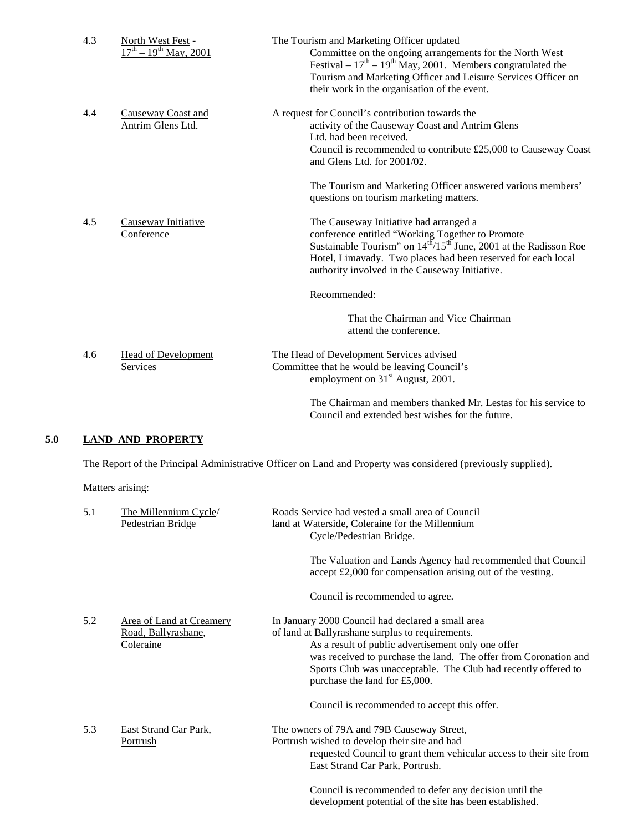| 4.3 | North West Fest -<br>$17^{th} - 19^{th}$ May, 2001 | The Tourism and Marketing Officer updated<br>Committee on the ongoing arrangements for the North West<br>Festival – $17th$ – $19th$ May, 2001. Members congratulated the<br>Tourism and Marketing Officer and Leisure Services Officer on<br>their work in the organisation of the event.              |
|-----|----------------------------------------------------|--------------------------------------------------------------------------------------------------------------------------------------------------------------------------------------------------------------------------------------------------------------------------------------------------------|
| 4.4 | Causeway Coast and<br>Antrim Glens Ltd.            | A request for Council's contribution towards the<br>activity of the Causeway Coast and Antrim Glens<br>Ltd. had been received.<br>Council is recommended to contribute £25,000 to Causeway Coast<br>and Glens Ltd. for 2001/02.                                                                        |
|     |                                                    | The Tourism and Marketing Officer answered various members'<br>questions on tourism marketing matters.                                                                                                                                                                                                 |
| 4.5 | Causeway Initiative<br>Conference                  | The Causeway Initiative had arranged a<br>conference entitled "Working Together to Promote<br>Sustainable Tourism" on $14^{\text{th}}/15^{\text{th}}$ June, 2001 at the Radisson Roe<br>Hotel, Limavady. Two places had been reserved for each local<br>authority involved in the Causeway Initiative. |
|     |                                                    | Recommended:                                                                                                                                                                                                                                                                                           |
|     |                                                    | That the Chairman and Vice Chairman<br>attend the conference.                                                                                                                                                                                                                                          |
| 4.6 | <b>Head of Development</b><br>Services             | The Head of Development Services advised<br>Committee that he would be leaving Council's<br>employment on 31 <sup>st</sup> August, 2001.                                                                                                                                                               |
|     |                                                    | The Chairman and members thanked Mr. Lestas for his service to<br>Council and extended best wishes for the future.                                                                                                                                                                                     |

# **5.0 LAND AND PROPERTY**

The Report of the Principal Administrative Officer on Land and Property was considered (previously supplied).

Matters arising:

| 5.1 | The Millennium Cycle/<br>Pedestrian Bridge                   | Roads Service had vested a small area of Council<br>land at Waterside, Coleraine for the Millennium<br>Cycle/Pedestrian Bridge.                                                                                                                                                                                                    |
|-----|--------------------------------------------------------------|------------------------------------------------------------------------------------------------------------------------------------------------------------------------------------------------------------------------------------------------------------------------------------------------------------------------------------|
|     |                                                              | The Valuation and Lands Agency had recommended that Council<br>accept £2,000 for compensation arising out of the vesting.                                                                                                                                                                                                          |
|     |                                                              | Council is recommended to agree.                                                                                                                                                                                                                                                                                                   |
| 5.2 | Area of Land at Creamery<br>Road, Ballyrashane,<br>Coleraine | In January 2000 Council had declared a small area<br>of land at Ballyrashane surplus to requirements.<br>As a result of public advertisement only one offer<br>was received to purchase the land. The offer from Coronation and<br>Sports Club was unacceptable. The Club had recently offered to<br>purchase the land for £5,000. |
|     |                                                              | Council is recommended to accept this offer.                                                                                                                                                                                                                                                                                       |
| 5.3 | East Strand Car Park,<br>Portrush                            | The owners of 79A and 79B Causeway Street,<br>Portrush wished to develop their site and had<br>requested Council to grant them vehicular access to their site from<br>East Strand Car Park, Portrush.                                                                                                                              |
|     |                                                              | Council is recommended to defer any decision until the<br>development potential of the site has been established.                                                                                                                                                                                                                  |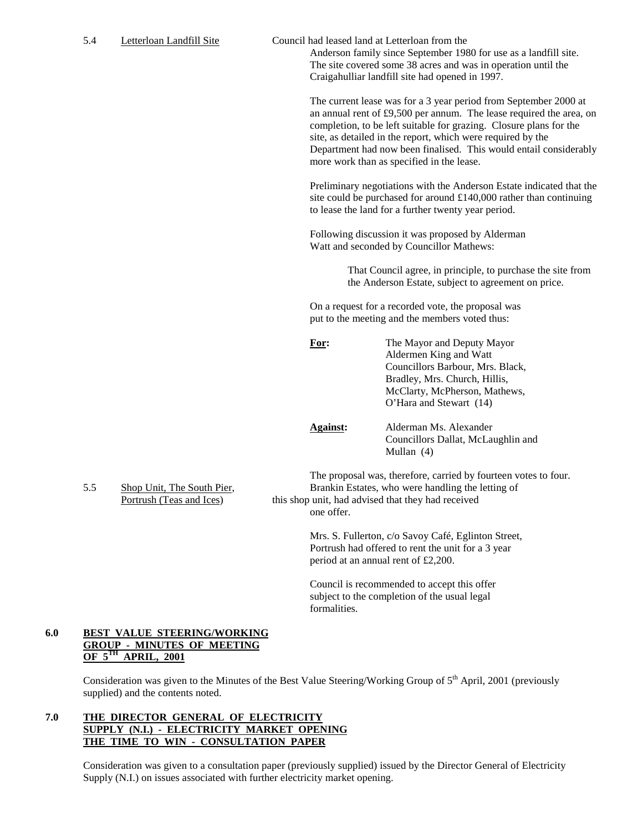5.4 Letterloan Landfill Site Council had leased land at Letterloan from the

Anderson family since September 1980 for use as a landfill site. The site covered some 38 acres and was in operation until the Craigahulliar landfill site had opened in 1997.

The current lease was for a 3 year period from September 2000 at an annual rent of £9,500 per annum. The lease required the area, on completion, to be left suitable for grazing. Closure plans for the site, as detailed in the report, which were required by the Department had now been finalised. This would entail considerably more work than as specified in the lease.

Preliminary negotiations with the Anderson Estate indicated that the site could be purchased for around £140,000 rather than continuing to lease the land for a further twenty year period.

Following discussion it was proposed by Alderman Watt and seconded by Councillor Mathews:

> That Council agree, in principle, to purchase the site from the Anderson Estate, subject to agreement on price.

On a request for a recorded vote, the proposal was put to the meeting and the members voted thus:

| For: | The Mayor and Deputy Mayor       |
|------|----------------------------------|
|      | Aldermen King and Watt           |
|      | Councillors Barbour, Mrs. Black, |
|      | Bradley, Mrs. Church, Hillis,    |
|      | McClarty, McPherson, Mathews,    |
|      | O'Hara and Stewart (14)          |
|      |                                  |
|      | <b>PERSONAL PROPERTY</b>         |

**Against:** Alderman Ms. Alexander Councillors Dallat, McLaughlin and Mullan (4)

The proposal was, therefore, carried by fourteen votes to four. 5.5 Shop Unit, The South Pier, Brankin Estates, who were handling the letting of Portrush (Teas and Ices) this shop unit, had advised that they had received one offer.

> Mrs. S. Fullerton, c/o Savoy Café, Eglinton Street, Portrush had offered to rent the unit for a 3 year period at an annual rent of £2,200.

Council is recommended to accept this offer subject to the completion of the usual legal formalities.

# **6.0 BEST VALUE STEERING/WORKING GROUP - MINUTES OF MEETING OF 5TH APRIL, 2001**

Consideration was given to the Minutes of the Best Value Steering/Working Group of 5<sup>th</sup> April, 2001 (previously supplied) and the contents noted.

#### **7.0 THE DIRECTOR GENERAL OF ELECTRICITY SUPPLY (N.I.) - ELECTRICITY MARKET OPENING THE TIME TO WIN - CONSULTATION PAPER**

Consideration was given to a consultation paper (previously supplied) issued by the Director General of Electricity Supply (N.I.) on issues associated with further electricity market opening.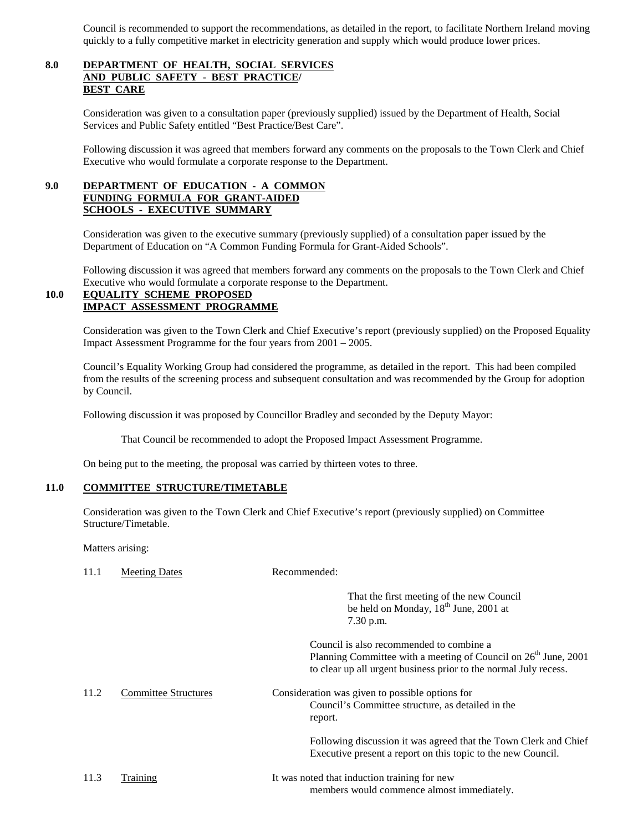Council is recommended to support the recommendations, as detailed in the report, to facilitate Northern Ireland moving quickly to a fully competitive market in electricity generation and supply which would produce lower prices.

# **8.0 DEPARTMENT OF HEALTH, SOCIAL SERVICES AND PUBLIC SAFETY - BEST PRACTICE/ BEST CARE**

Consideration was given to a consultation paper (previously supplied) issued by the Department of Health, Social Services and Public Safety entitled "Best Practice/Best Care".

Following discussion it was agreed that members forward any comments on the proposals to the Town Clerk and Chief Executive who would formulate a corporate response to the Department.

# **9.0 DEPARTMENT OF EDUCATION - A COMMON FUNDING FORMULA FOR GRANT-AIDED SCHOOLS - EXECUTIVE SUMMARY**

Consideration was given to the executive summary (previously supplied) of a consultation paper issued by the Department of Education on "A Common Funding Formula for Grant-Aided Schools".

Following discussion it was agreed that members forward any comments on the proposals to the Town Clerk and Chief Executive who would formulate a corporate response to the Department.

### **10.0 EQUALITY SCHEME PROPOSED IMPACT ASSESSMENT PROGRAMME**

Consideration was given to the Town Clerk and Chief Executive's report (previously supplied) on the Proposed Equality Impact Assessment Programme for the four years from 2001 – 2005.

Council's Equality Working Group had considered the programme, as detailed in the report. This had been compiled from the results of the screening process and subsequent consultation and was recommended by the Group for adoption by Council.

Following discussion it was proposed by Councillor Bradley and seconded by the Deputy Mayor:

That Council be recommended to adopt the Proposed Impact Assessment Programme.

On being put to the meeting, the proposal was carried by thirteen votes to three.

#### **11.0 COMMITTEE STRUCTURE/TIMETABLE**

Consideration was given to the Town Clerk and Chief Executive's report (previously supplied) on Committee Structure/Timetable.

Matters arising:

| 11.1 | <b>Meeting Dates</b>        | Recommended:                                                                                                                                                                                |
|------|-----------------------------|---------------------------------------------------------------------------------------------------------------------------------------------------------------------------------------------|
|      |                             | That the first meeting of the new Council<br>be held on Monday, 18 <sup>th</sup> June, 2001 at<br>7.30 p.m.                                                                                 |
|      |                             | Council is also recommended to combine a<br>Planning Committee with a meeting of Council on 26 <sup>th</sup> June, 2001<br>to clear up all urgent business prior to the normal July recess. |
| 11.2 | <b>Committee Structures</b> | Consideration was given to possible options for<br>Council's Committee structure, as detailed in the<br>report.                                                                             |
|      |                             | Following discussion it was agreed that the Town Clerk and Chief<br>Executive present a report on this topic to the new Council.                                                            |
| 11.3 | Training                    | It was noted that induction training for new<br>members would commence almost immediately.                                                                                                  |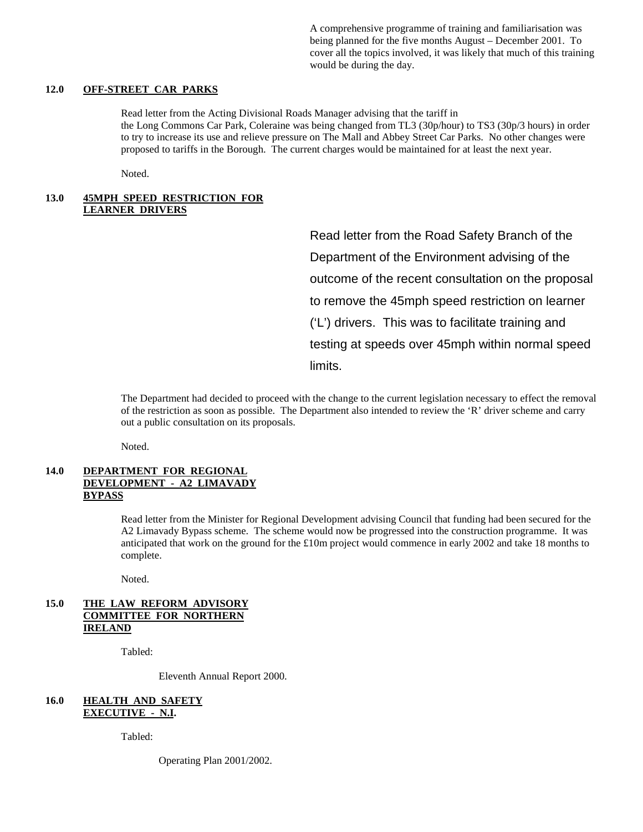A comprehensive programme of training and familiarisation was being planned for the five months August – December 2001. To cover all the topics involved, it was likely that much of this training would be during the day.

#### **12.0 OFF-STREET CAR PARKS**

Read letter from the Acting Divisional Roads Manager advising that the tariff in the Long Commons Car Park, Coleraine was being changed from TL3 (30p/hour) to TS3 (30p/3 hours) in order to try to increase its use and relieve pressure on The Mall and Abbey Street Car Parks. No other changes were proposed to tariffs in the Borough. The current charges would be maintained for at least the next year.

Noted.

#### **13.0 45MPH SPEED RESTRICTION FOR LEARNER DRIVERS**

Read letter from the Road Safety Branch of the Department of the Environment advising of the outcome of the recent consultation on the proposal to remove the 45mph speed restriction on learner ('L') drivers. This was to facilitate training and testing at speeds over 45mph within normal speed limits.

The Department had decided to proceed with the change to the current legislation necessary to effect the removal of the restriction as soon as possible. The Department also intended to review the 'R' driver scheme and carry out a public consultation on its proposals.

Noted.

#### **14.0 DEPARTMENT FOR REGIONAL DEVELOPMENT - A2 LIMAVADY BYPASS**

Read letter from the Minister for Regional Development advising Council that funding had been secured for the A2 Limavady Bypass scheme. The scheme would now be progressed into the construction programme. It was anticipated that work on the ground for the £10m project would commence in early 2002 and take 18 months to complete.

Noted.

#### **15.0 THE LAW REFORM ADVISORY COMMITTEE FOR NORTHERN IRELAND**

Tabled:

Eleventh Annual Report 2000.

#### **16.0 HEALTH AND SAFETY EXECUTIVE - N.I.**

Tabled:

Operating Plan 2001/2002.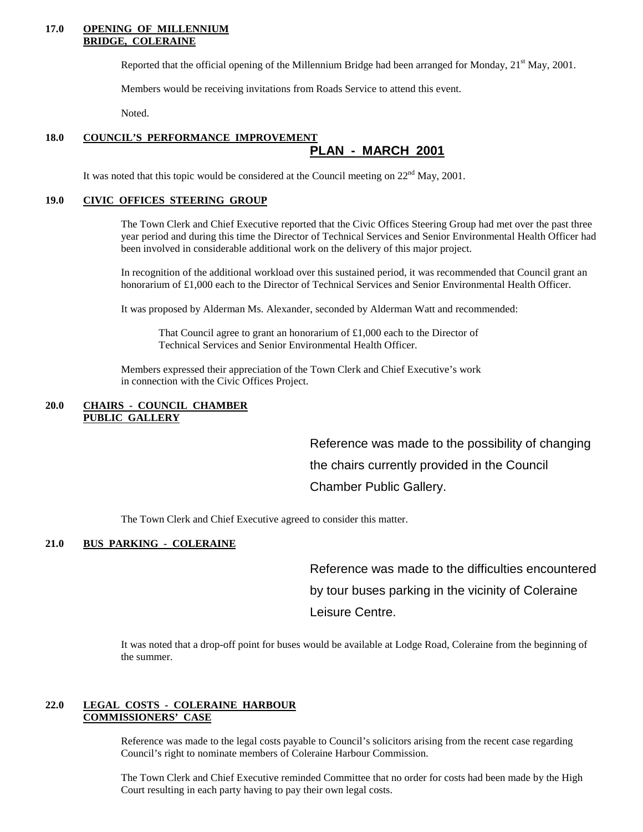#### **17.0 OPENING OF MILLENNIUM BRIDGE, COLERAINE**

Reported that the official opening of the Millennium Bridge had been arranged for Monday,  $21<sup>st</sup>$  May, 2001.

Members would be receiving invitations from Roads Service to attend this event.

Noted.

#### **18.0 COUNCIL'S PERFORMANCE IMPROVEMENT PLAN - MARCH 2001**

It was noted that this topic would be considered at the Council meeting on  $22<sup>nd</sup>$  May, 2001.

#### **19.0 CIVIC OFFICES STEERING GROUP**

The Town Clerk and Chief Executive reported that the Civic Offices Steering Group had met over the past three year period and during this time the Director of Technical Services and Senior Environmental Health Officer had been involved in considerable additional work on the delivery of this major project.

In recognition of the additional workload over this sustained period, it was recommended that Council grant an honorarium of £1,000 each to the Director of Technical Services and Senior Environmental Health Officer.

It was proposed by Alderman Ms. Alexander, seconded by Alderman Watt and recommended:

That Council agree to grant an honorarium of  $\pounds$ 1,000 each to the Director of Technical Services and Senior Environmental Health Officer.

Members expressed their appreciation of the Town Clerk and Chief Executive's work in connection with the Civic Offices Project.

#### **20.0 CHAIRS - COUNCIL CHAMBER PUBLIC GALLERY**

Reference was made to the possibility of changing the chairs currently provided in the Council Chamber Public Gallery.

The Town Clerk and Chief Executive agreed to consider this matter.

#### **21.0 BUS PARKING - COLERAINE**

Reference was made to the difficulties encountered by tour buses parking in the vicinity of Coleraine Leisure Centre.

It was noted that a drop-off point for buses would be available at Lodge Road, Coleraine from the beginning of the summer.

#### **22.0 LEGAL COSTS - COLERAINE HARBOUR COMMISSIONERS' CASE**

Reference was made to the legal costs payable to Council's solicitors arising from the recent case regarding Council's right to nominate members of Coleraine Harbour Commission.

The Town Clerk and Chief Executive reminded Committee that no order for costs had been made by the High Court resulting in each party having to pay their own legal costs.